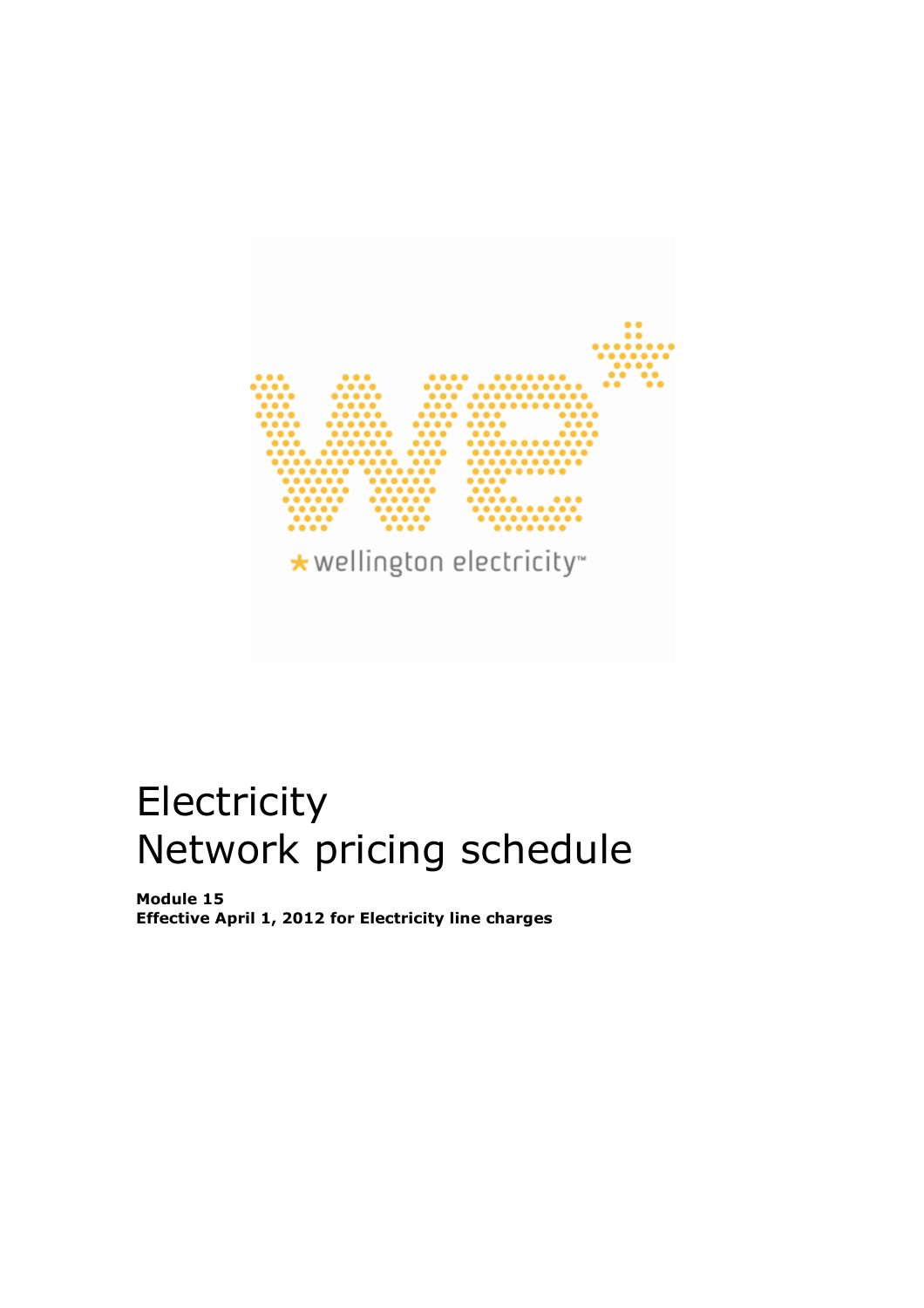

# Electricity Network pricing schedule

Module 15 Effective April 1, 2012 for Electricity line charges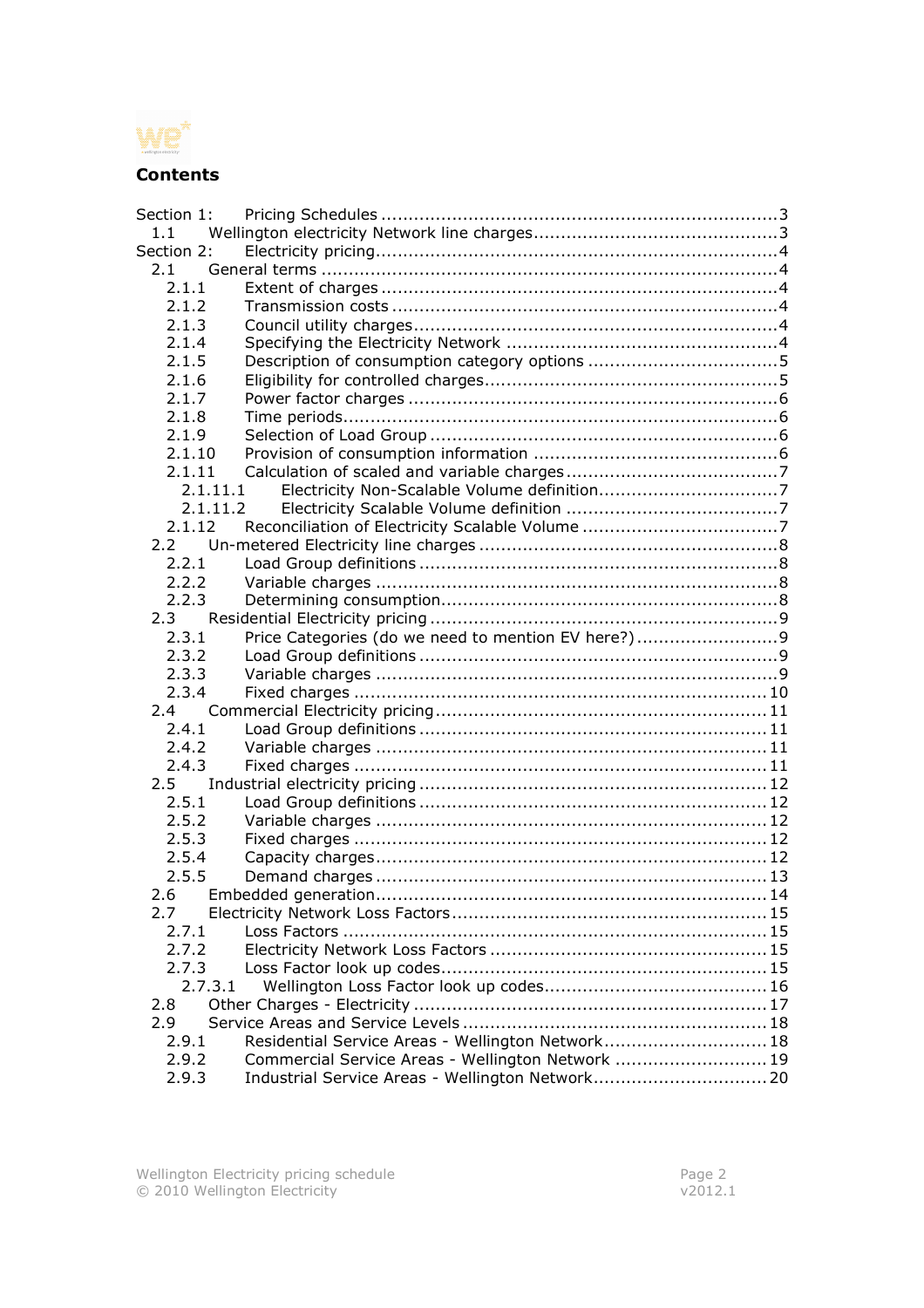

## **Contents**

| Section 1: |          |                                                    |  |
|------------|----------|----------------------------------------------------|--|
| 1.1        |          |                                                    |  |
| Section 2: |          |                                                    |  |
| 2.1        |          |                                                    |  |
| 2.1.1      |          |                                                    |  |
| 2.1.2      |          |                                                    |  |
| 2.1.3      |          |                                                    |  |
| 2.1.4      |          |                                                    |  |
| 2.1.5      |          |                                                    |  |
| 2.1.6      |          |                                                    |  |
| 2.1.7      |          |                                                    |  |
| 2.1.8      |          |                                                    |  |
| 2.1.9      |          |                                                    |  |
| 2.1.10     |          |                                                    |  |
| 2.1.11     |          |                                                    |  |
|            | 2.1.11.1 |                                                    |  |
|            | 2.1.11.2 |                                                    |  |
| 2.1.12     |          |                                                    |  |
| 2.2        |          |                                                    |  |
| 2.2.1      |          |                                                    |  |
| 2.2.2      |          |                                                    |  |
| 2.2.3      |          |                                                    |  |
| 2.3        |          |                                                    |  |
| 2.3.1      |          | Price Categories (do we need to mention EV here?)9 |  |
| 2.3.2      |          |                                                    |  |
| 2.3.3      |          |                                                    |  |
| 2.3.4      |          |                                                    |  |
| 2.4        |          |                                                    |  |
| 2.4.1      |          |                                                    |  |
| 2.4.2      |          |                                                    |  |
| 2.4.3      |          |                                                    |  |
| 2.5        |          |                                                    |  |
| 2.5.1      |          |                                                    |  |
| 2.5.2      |          |                                                    |  |
| 2.5.3      |          |                                                    |  |
| 2.5.4      |          |                                                    |  |
| 2.5.5      |          |                                                    |  |
| 2.6        |          |                                                    |  |
| 2.7        |          |                                                    |  |
| 2.7.1      |          |                                                    |  |
| 2.7.2      |          |                                                    |  |
| 2.7.3      |          |                                                    |  |
|            | 2.7.3.1  |                                                    |  |
| 2.8        |          |                                                    |  |
| 2.9        |          |                                                    |  |
| 2.9.1      |          | Residential Service Areas - Wellington Network 18  |  |
| 2.9.2      |          | Commercial Service Areas - Wellington Network  19  |  |
| 2.9.3      |          |                                                    |  |
|            |          |                                                    |  |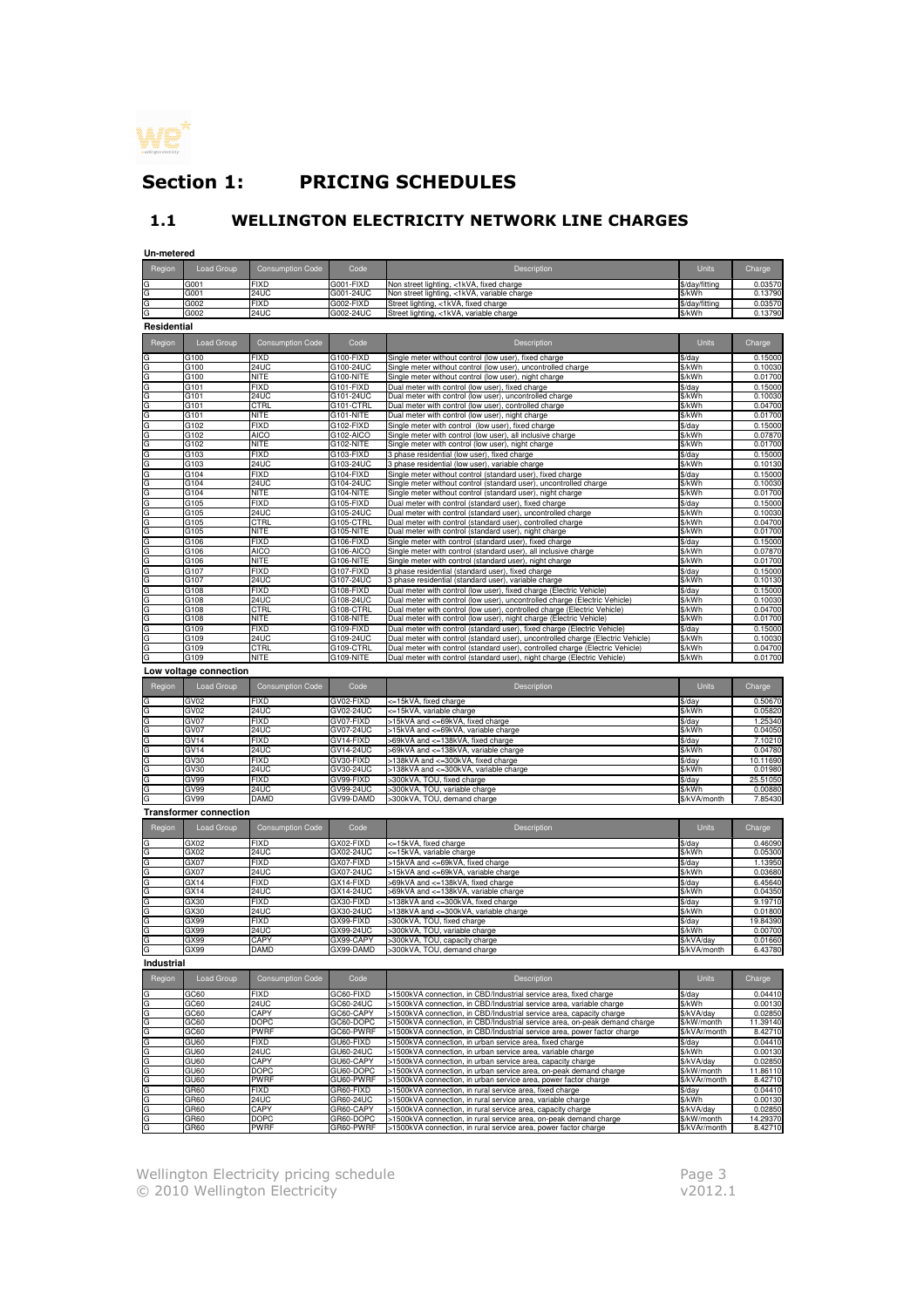

## Section 1: PRICING SCHEDULES

#### 1.1 WELLINGTON ELECTRICITY NETWORK LINE CHARGES

**Un-metered**

| Region      | Load Group                    | <b>Consumption Code</b>    | Code                   | Description                                                                                                                          | Units                        | Charge              |
|-------------|-------------------------------|----------------------------|------------------------|--------------------------------------------------------------------------------------------------------------------------------------|------------------------------|---------------------|
|             |                               |                            |                        |                                                                                                                                      |                              |                     |
|             | G001                          | <b>FIXD</b>                | G001-FIXD              | Non street lighting, <1kVA, fixed charge                                                                                             | \$/day/fitting               | 0.03570             |
|             | G001                          | <b>24UC</b>                | G001-24UC              | Non street lighting, <1kVA, variable charge                                                                                          | \$/kWh                       | 0.13790             |
|             | G002                          | <b>FIXD</b>                | G002-FIXD              | Street lighting, <1kVA, fixed charge                                                                                                 | \$/day/fitting               | 0.03570             |
| G           | G002                          | 24UC                       | G002-24UC              | Street lighting, <1kVA, variable charge                                                                                              | \$/kWh                       | 0.13790             |
|             |                               |                            |                        |                                                                                                                                      |                              |                     |
| Residential |                               |                            |                        |                                                                                                                                      |                              |                     |
| Region      | Load Group                    | <b>Consumption Code</b>    | Code                   | Description                                                                                                                          | Units                        | Charge              |
|             |                               |                            |                        |                                                                                                                                      |                              |                     |
|             | G100                          | FIXD                       | G100-FIXD              | Single meter without control (low user), fixed charge                                                                                | \$/day                       | 0.15000             |
|             | 3100                          | 24UC                       | G100-24UC              | Single meter without control (low user), uncontrolled charge                                                                         | \$/kWh                       | 0.10030             |
|             | G100                          | NITE                       | G100-NITE              | Single meter without control (low user), night charge                                                                                | \$/kWh                       | 0.01700             |
|             | G101                          | <b>FIXD</b>                | G101-FIXD              | Dual meter with control (low user), fixed charge                                                                                     | \$/day                       | 0.15000             |
|             | G101                          | 24UC                       | G101-24UC              | Dual meter with control (low user), uncontrolled charge                                                                              | \$/kWh                       | 0.10030             |
|             | G101                          | CTRL                       | G101-CTRL              | Dual meter with control (low user), controlled charge                                                                                | \$/kWh                       | 0.04700             |
|             | G101                          | NITE                       | G101-NITE              | Dual meter with control (low user), night charge                                                                                     | \$/kWh                       | 0.01700             |
|             | G102                          | <b>FIXD</b>                | G102-FIXD              | Single meter with control (low user), fixed charge                                                                                   | \$/day                       | 0.15000             |
|             | G102                          | <b>AICO</b>                | G102-AICO              | Single meter with control (low user), all inclusive charge                                                                           | \$/kWh                       | 0.07870             |
|             | G102                          | NITE                       | G102-NITE              | Single meter with control (low user), night charge                                                                                   | \$/kWh                       | 0.01700             |
|             |                               |                            | G103-FIXD              |                                                                                                                                      |                              |                     |
|             | G103                          | <b>FIXD</b>                |                        | 3 phase residential (low user), fixed charge                                                                                         | \$/day                       | 0.15000             |
|             | G103                          | 24UC                       | G103-24UC              | 3 phase residential (low user), variable charge                                                                                      | \$/kWh                       | 0.10130             |
| G           | G104                          | FIXD                       | G104-FIXD              | Single meter without control (standard user), fixed charge                                                                           | \$/day                       | 0.15000             |
|             | G104                          | 24UC                       | G104-24UC              | Single meter without control (standard user), uncontrolled charge                                                                    | \$/kWh                       | 0.10030             |
| G           | G104                          | NITE                       | G104-NITE              | Single meter without control (standard user), night charge                                                                           | \$/kWh                       | 0.01700             |
| G           | G105                          | FIXD                       | G105-FIXD              | Dual meter with control (standard user), fixed charge                                                                                | \$/day                       | 0.15000             |
| G           | G105                          | 24UC                       | G105-24UC              | Dual meter with control (standard user), uncontrolled charge                                                                         | \$/kWh                       | 0.10030             |
|             | G105                          | CTRL                       | G105-CTRL              | Dual meter with control (standard user), controlled charge                                                                           | \$/kWh                       | 0.04700             |
|             | G105                          | NITE                       | G105-NITE              | Dual meter with control (standard user), night charge                                                                                | \$/kWh                       | 0.01700             |
| G           | G106                          | FIXD                       | G106-FIXD              | Single meter with control (standard user), fixed charge                                                                              | \$/day                       | 0.15000             |
| G           | G106                          | <b>AICO</b>                | G106-AICO              | Single meter with control (standard user),<br>all inclusive charge                                                                   | \$/kWh                       | 0.07870             |
| G           | G106                          | NITE                       | G106-NITE              | Single meter with control (standard user), night charge                                                                              | \$/kWh                       | 0.01700             |
| G           | G107                          | FIXD                       | G107-FIXD              | 3 phase residential (standard user), fixed charge                                                                                    | \$/day                       | 0.15000             |
| G           | G107                          | 24UC                       | G107-24UC              |                                                                                                                                      | \$/kWh                       | 0.10130             |
|             |                               |                            |                        | 3 phase residential (standard user), variable charge                                                                                 |                              |                     |
|             | G108                          | FIXD                       | G108-FIXD              | Dual meter with control (low user), fixed charge (Electric Vehicle)                                                                  | \$/day                       | 0.15000             |
|             | G108                          | 24UC                       | G108-24UC              | Dual meter with control (low user), uncontrolled charge (Electric Vehicle)                                                           | \$/kWh                       | 0.10030             |
|             | G108                          | CTRL                       | G108-CTRL              | Dual meter with control (low user), controlled charge (Electric Vehicle)                                                             | \$/kWh                       | 0.04700             |
|             | G108                          | NITE                       | G108-NITE              | Dual meter with control (low user), night charge (Electric Vehicle)                                                                  | \$/kWh                       | 0.01700             |
|             | G109                          | <b>FIXD</b>                | G109-FIXD              | Dual meter with control (standard user), fixed charge (Electric Vehicle)                                                             | \$/day                       | 0.15000             |
|             | G109                          | 24UC                       | G109-24UC              | Dual meter with control (standard user), uncontrolled charge (Electric Vehicle)                                                      | \$/kWh                       | 0.10030             |
|             | G109                          | CTRL                       | G109-CTRL              | Dual meter with control (standard user), controlled charge (Electric Vehicle)                                                        | \$/kWh                       | 0.04700             |
|             | G109                          | NITE                       | G109-NITE              | Dual meter with control (standard user), night charge (Electric Vehicle)                                                             | \$/kWh                       | 0.01700             |
|             |                               |                            |                        |                                                                                                                                      |                              |                     |
|             | Low voltage connection        |                            |                        |                                                                                                                                      |                              |                     |
| Region      | Load Group                    | <b>Consumption Code</b>    | Code                   | Description                                                                                                                          | <b>Units</b>                 | Charge              |
|             |                               |                            |                        |                                                                                                                                      |                              |                     |
|             | GV02                          | <b>FIXD</b>                | GV02-FIXD              | =15kVA, fixed charge                                                                                                                 | \$/day                       | 0.50670             |
|             | GV02                          | 24UC                       | GV02-24UC              | =15kVA, variable charge                                                                                                              | \$/kWh                       | 0.05820             |
|             | GV07                          | FIXD                       | GV07-FIXD              | -15kVA and <=69kVA, fixed charge                                                                                                     | \$/day                       | 1.25340             |
|             | GV07                          | 24UC                       | GV07-24UC              | -15kVA and <=69kVA, variable charge                                                                                                  | \$/kWh                       | 0.04050             |
|             | GV <sub>14</sub>              | FIXD                       | GV14-FIXD              | >69kVA and <=138kVA, fixed charge                                                                                                    | \$/day                       | 7.10210             |
|             | GV14                          | <b>24UC</b>                | GV14-24UC              | >69kVA and <=138kVA, variable charge                                                                                                 | \$/kWh                       | 0.04780             |
|             | GV30                          | <b>FIXD</b>                | GV30-FIXD              | >138kVA and <=300kVA, fixed charge                                                                                                   | \$/day                       | 10.11690            |
|             | GV30                          | 24UC                       | GV30-24UC              | >138kVA and <=300kVA, variable charge                                                                                                | \$/kWh                       | 0.01980             |
|             | GV99                          | <b>FIXD</b>                | GV99-FIXD              | >300kVA, TOU, fixed charge                                                                                                           | \$/day                       | 25.51050            |
|             | GV99                          | <b>24UC</b>                |                        |                                                                                                                                      | \$/kWh                       | 0.00880             |
|             |                               |                            | GV99-24UC              | >300kVA, TOU, variable charge                                                                                                        |                              |                     |
|             | GV99                          | <b>DAMD</b>                | GV99-DAMD              | >300kVA, TOU, demand charge                                                                                                          | \$/kVA/month                 | 7.85430             |
|             | <b>Transformer connection</b> |                            |                        |                                                                                                                                      |                              |                     |
|             |                               |                            |                        |                                                                                                                                      |                              |                     |
| Region      | Load Group                    | <b>Consumption Code</b>    | Code                   | Description                                                                                                                          | Units                        | Charge              |
|             | GX02                          | FIXD                       | GX02-FIXD              | <=15kVA, fixed charge                                                                                                                | \$/day                       | 0.46090             |
|             | GX02                          | 24UC                       | GX02-24UC              | <=15kVA, variable charge                                                                                                             | \$/kWh                       | 0.05300             |
|             |                               |                            | GX07-FIXD              |                                                                                                                                      |                              |                     |
|             | GX07                          | FIXD                       |                        | >15kVA and <=69kVA, fixed charge                                                                                                     | \$/day                       | 1.13950             |
|             | GX07                          | 24UC                       | GX07-24UC              | >15kVA and <=69kVA, variable charge                                                                                                  | \$/kWh                       | 0.03680             |
|             | GX14                          | <b>FIXD</b>                | GX14-FIXD              | >69kVA and <=138kVA, fixed charge                                                                                                    | \$/day                       | 6.45640             |
| G           | GX14                          | <b>24UC</b>                | GX14-24UC              | >69kVA and <=138kVA, variable charge                                                                                                 | \$/kWh                       | 0.04350             |
| G           | GX30                          | <b>FIXD</b>                | GX30-FIXD              | >138kVA and <= 300kVA, fixed charge                                                                                                  | \$/day                       | 9.19710             |
| G           | GX30                          | <b>24UC</b>                | GX30-24UC              | >138kVA and <=300kVA, variable charge                                                                                                | \$/kWh                       | 0.01800             |
| G           | GX99                          | FIXD                       | GX99-FIXD              | 300kVA, TOU, fixed charge                                                                                                            | \$/day                       | 19.84390            |
|             | GX99                          | 24UC                       | GX99-24UC              | 300kVA, TOU, variable charge                                                                                                         | \$/kWh                       | 0.00700             |
|             | GX99                          | CAPY                       | GX99-CAPY              | 300kVA, TOU, capacity charge                                                                                                         | \$/kVA/day                   | 0.01660             |
| G           | GX99                          | <b>DAMD</b>                | GX99-DAMD              | >300kVA, TOU, demand charge                                                                                                          | \$/kVA/month                 | 6.43780             |
| Industrial  |                               |                            |                        |                                                                                                                                      |                              |                     |
|             |                               |                            |                        |                                                                                                                                      |                              |                     |
| Region      | Load Group                    | <b>Consumption Code</b>    | Code                   | Description                                                                                                                          | <b>Units</b>                 | Charge              |
|             |                               |                            |                        |                                                                                                                                      |                              |                     |
| G           | GC60                          | <b>FIXD</b>                | GC60-FIXD              | >1500kVA connection, in CBD/Industrial service area, fixed charge                                                                    | \$/day                       | 0.04410             |
| G           | GC60                          | <b>24UC</b>                | GC60-24UC              | >1500kVA connection, in CBD/Industrial service area, variable charge                                                                 | \$/kWh                       | 0.00130             |
| G           | GC60                          | CAPY                       | GC60-CAPY              | >1500kVA connection, in CBD/Industrial service area, capacity charge                                                                 | \$/kVA/day                   | 0.02850             |
| G           | GC60                          | <b>DOPC</b>                | GC60-DOPC              | >1500kVA connection, in CBD/Industrial service area, on-peak demand charge                                                           | \$/kW/month                  | 11.39140            |
| G           | GC60                          | <b>PWRF</b>                | GC60-PWRF              | >1500kVA connection, in CBD/Industrial service area, power factor charge                                                             | \$/kVAr/month                | 8.42710             |
| G           | GU60                          | FIXD                       | GU60-FIXD              | >1500kVA connection, in urban service area, fixed charge                                                                             | \$/day                       | 0.04410             |
| G           | GU60                          | 24UC                       | GU60-24UC              | 1500kVA connection, in urban service area, variable charge                                                                           | \$/kWh                       | 0.00130             |
| G           | GU60                          | CAPY                       | GU60-CAPY              | -1500kVA connection, in urban service area, capacity charge                                                                          | \$/kVA/day                   | 0.02850             |
| G           |                               | DOPC                       | GU60-DOPC              | >1500kVA connection, in urban service area, on-peak demand charge                                                                    | \$/kW/month                  | 11.86110            |
|             |                               |                            |                        |                                                                                                                                      |                              | 8.42710             |
|             | GU60                          |                            |                        |                                                                                                                                      |                              |                     |
|             | GU60                          | <b>PWRF</b>                | GU60-PWRF              | >1500kVA connection, in urban service area, power factor charge                                                                      | \$/kVAr/month                |                     |
| G<br>G      | GR60                          | FIXD                       | GR60-FIXD              | >1500kVA connection, in rural service area, fixed charge                                                                             | \$/day                       | 0.04410             |
| G           | GR60                          | 24UC                       | GR60-24UC              | >1500kVA connection, in rural service area, variable charge                                                                          | \$/kWh                       | 0.00130             |
| G           | <b>GR60</b>                   | CAPY                       | GR60-CAPY              | >1500kVA connection, in rural service area, capacity charge                                                                          | \$/kVA/day                   | 0.02850             |
| G<br>G      | GR60<br>GR60                  | <b>DOPC</b><br><b>PWRF</b> | GR60-DOPC<br>GR60-PWRF | >1500kVA connection, in rural service area, on-peak demand charge<br>>1500kVA connection, in rural service area, power factor charge | \$/kW/month<br>\$/kVAr/month | 14.29370<br>8.42710 |

Wellington Electricity pricing schedule **Page 3** Page 3 © 2010 Wellington Electricity v2012.1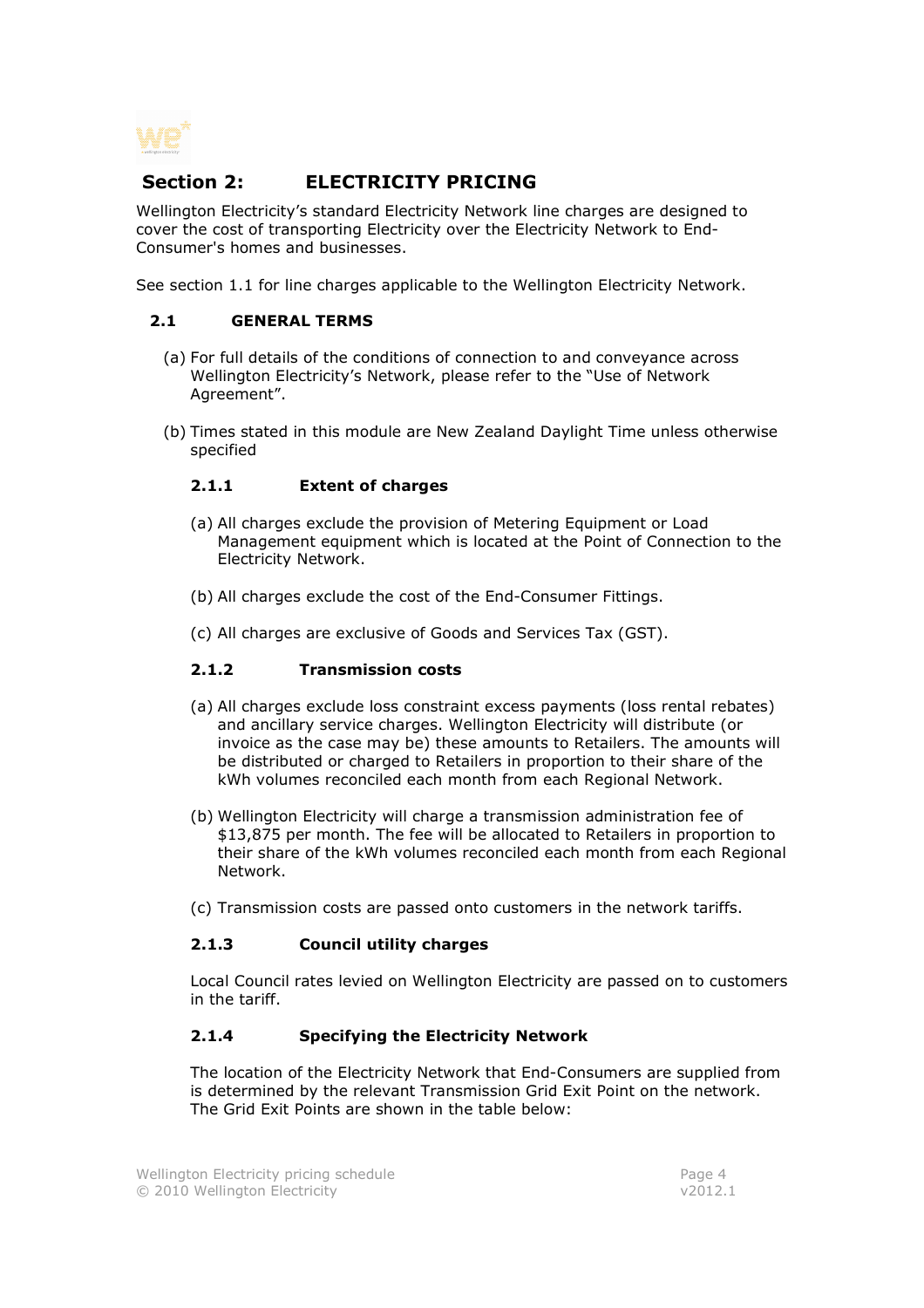

## Section 2: ELECTRICITY PRICING

Wellington Electricity's standard Electricity Network line charges are designed to cover the cost of transporting Electricity over the Electricity Network to End-Consumer's homes and businesses.

See section 1.1 for line charges applicable to the Wellington Electricity Network.

#### 2.1 GENERAL TERMS

- (a) For full details of the conditions of connection to and conveyance across Wellington Electricity's Network, please refer to the "Use of Network Agreement".
- (b) Times stated in this module are New Zealand Daylight Time unless otherwise specified

#### 2.1.1 Extent of charges

- (a) All charges exclude the provision of Metering Equipment or Load Management equipment which is located at the Point of Connection to the Electricity Network.
- (b) All charges exclude the cost of the End-Consumer Fittings.
- (c) All charges are exclusive of Goods and Services Tax (GST).

#### 2.1.2 Transmission costs

- (a) All charges exclude loss constraint excess payments (loss rental rebates) and ancillary service charges. Wellington Electricity will distribute (or invoice as the case may be) these amounts to Retailers. The amounts will be distributed or charged to Retailers in proportion to their share of the kWh volumes reconciled each month from each Regional Network.
- (b) Wellington Electricity will charge a transmission administration fee of \$13,875 per month. The fee will be allocated to Retailers in proportion to their share of the kWh volumes reconciled each month from each Regional Network.
- (c) Transmission costs are passed onto customers in the network tariffs.

#### 2.1.3 Council utility charges

Local Council rates levied on Wellington Electricity are passed on to customers in the tariff.

#### 2.1.4 Specifying the Electricity Network

The location of the Electricity Network that End-Consumers are supplied from is determined by the relevant Transmission Grid Exit Point on the network. The Grid Exit Points are shown in the table below: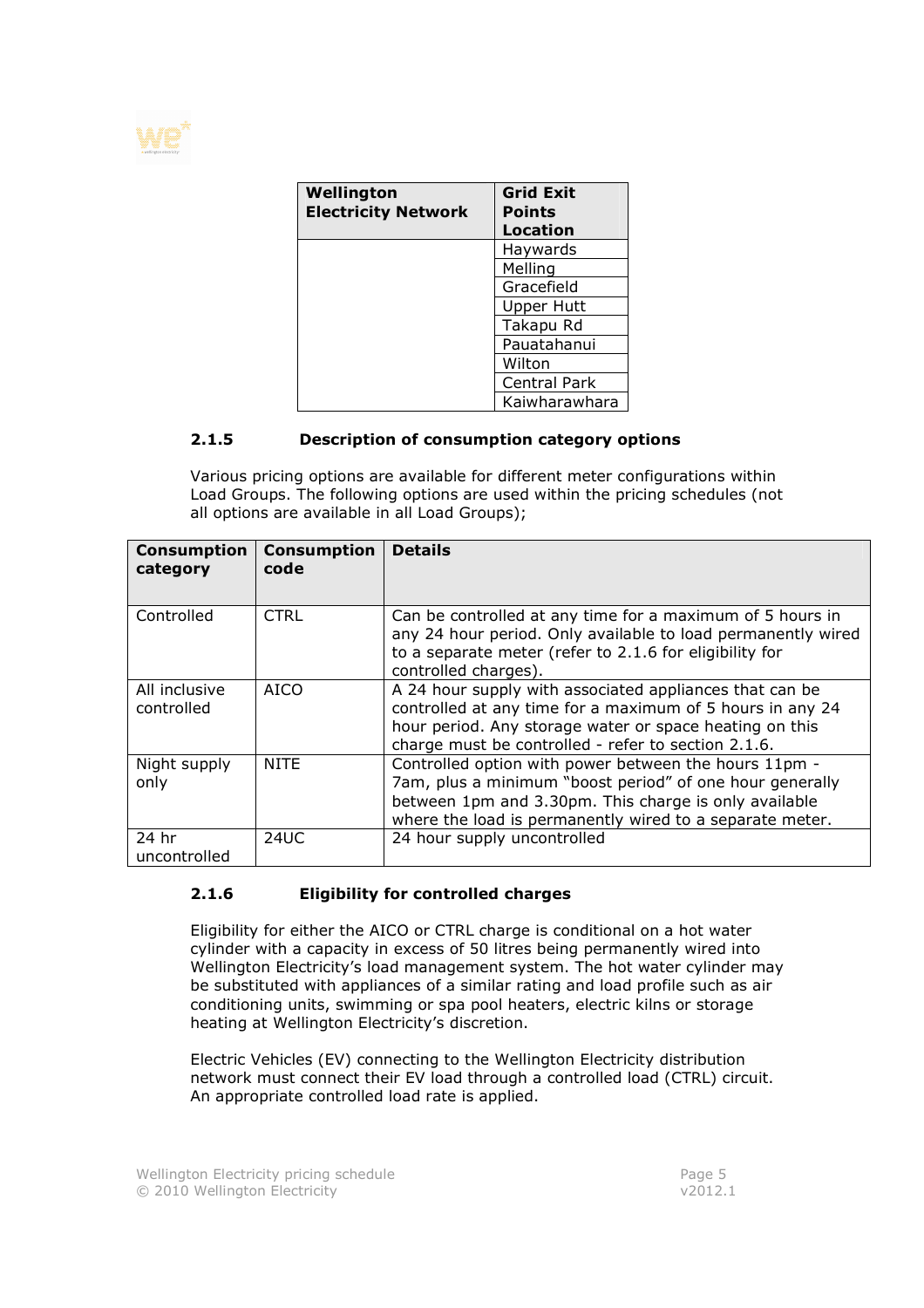| Wellington<br><b>Electricity Network</b> | <b>Grid Exit</b><br>Points<br>Location |
|------------------------------------------|----------------------------------------|
|                                          | Haywards                               |
|                                          | Melling                                |
|                                          | Gracefield                             |
|                                          | <b>Upper Hutt</b>                      |
|                                          | Takapu Rd                              |
|                                          | Pauatahanui                            |
|                                          | Wilton                                 |
|                                          | Central Park                           |
|                                          | Kaiwharawhara                          |

#### 2.1.5 Description of consumption category options

Various pricing options are available for different meter configurations within Load Groups. The following options are used within the pricing schedules (not all options are available in all Load Groups);

| <b>Consumption</b><br>category | <b>Consumption</b><br>code | <b>Details</b>                                                                                                                                                                                                                         |
|--------------------------------|----------------------------|----------------------------------------------------------------------------------------------------------------------------------------------------------------------------------------------------------------------------------------|
| Controlled                     | <b>CTRL</b>                | Can be controlled at any time for a maximum of 5 hours in<br>any 24 hour period. Only available to load permanently wired<br>to a separate meter (refer to 2.1.6 for eligibility for<br>controlled charges).                           |
| All inclusive<br>controlled    | <b>AICO</b>                | A 24 hour supply with associated appliances that can be<br>controlled at any time for a maximum of 5 hours in any 24<br>hour period. Any storage water or space heating on this<br>charge must be controlled - refer to section 2.1.6. |
| Night supply<br>only           | <b>NITE</b>                | Controlled option with power between the hours 11pm -<br>7am, plus a minimum "boost period" of one hour generally<br>between 1pm and 3.30pm. This charge is only available<br>where the load is permanently wired to a separate meter. |
| 24 hr<br>uncontrolled          | 24UC                       | 24 hour supply uncontrolled                                                                                                                                                                                                            |

#### 2.1.6 Eligibility for controlled charges

Eligibility for either the AICO or CTRL charge is conditional on a hot water cylinder with a capacity in excess of 50 litres being permanently wired into Wellington Electricity's load management system. The hot water cylinder may be substituted with appliances of a similar rating and load profile such as air conditioning units, swimming or spa pool heaters, electric kilns or storage heating at Wellington Electricity's discretion.

Electric Vehicles (EV) connecting to the Wellington Electricity distribution network must connect their EV load through a controlled load (CTRL) circuit. An appropriate controlled load rate is applied.

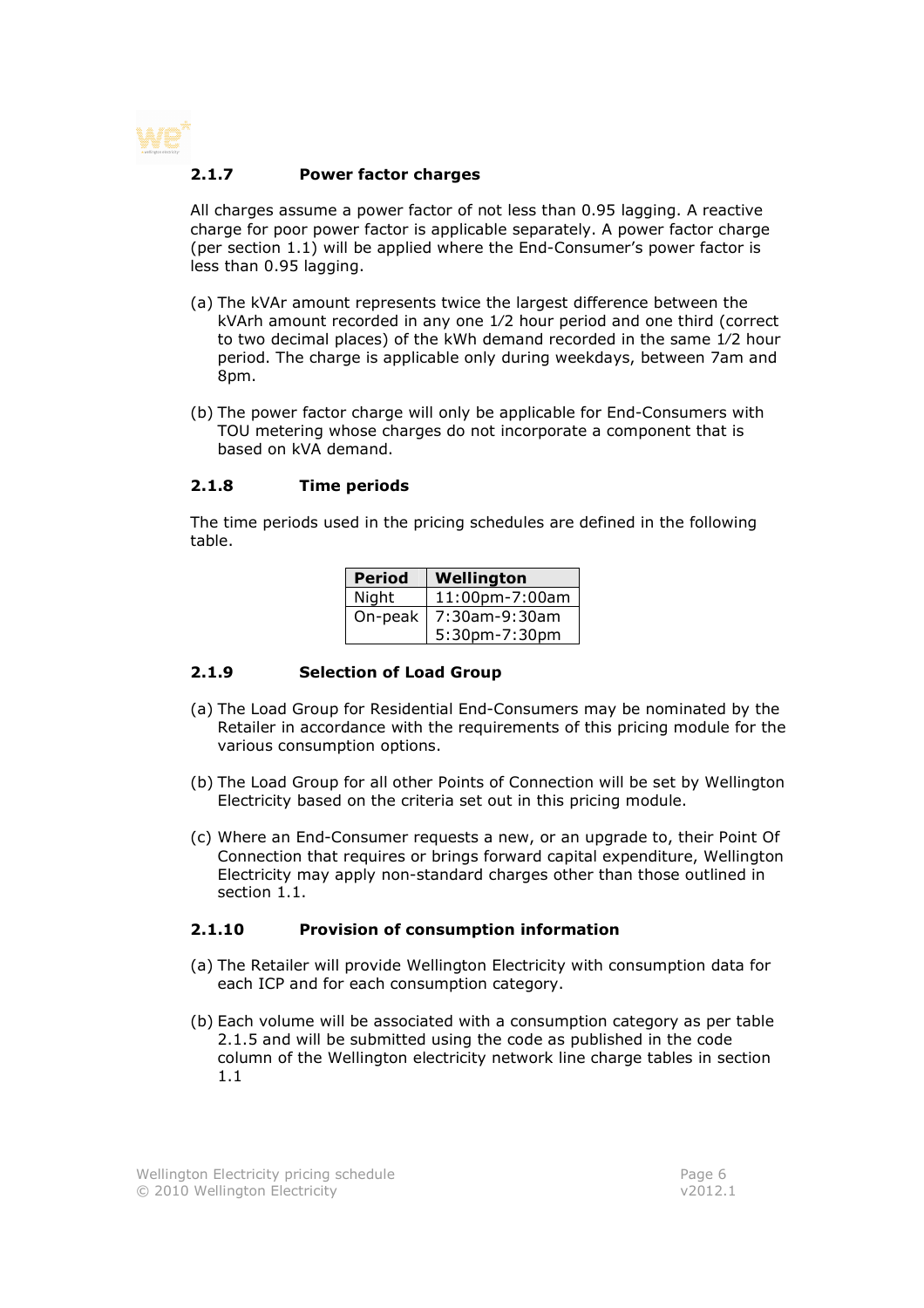

#### 2.1.7 Power factor charges

All charges assume a power factor of not less than 0.95 lagging. A reactive charge for poor power factor is applicable separately. A power factor charge (per section 1.1) will be applied where the End-Consumer's power factor is less than 0.95 lagging.

- (a) The kVAr amount represents twice the largest difference between the kVArh amount recorded in any one 1⁄2 hour period and one third (correct to two decimal places) of the kWh demand recorded in the same 1⁄2 hour period. The charge is applicable only during weekdays, between 7am and 8pm.
- (b) The power factor charge will only be applicable for End-Consumers with TOU metering whose charges do not incorporate a component that is based on kVA demand.

#### 2.1.8 Time periods

The time periods used in the pricing schedules are defined in the following table.

| <b>Period</b> | Wellington     |
|---------------|----------------|
| Night         | 11:00pm-7:00am |
| On-peak       | 7:30am-9:30am  |
|               | 5:30pm-7:30pm  |

#### 2.1.9 Selection of Load Group

- (a) The Load Group for Residential End-Consumers may be nominated by the Retailer in accordance with the requirements of this pricing module for the various consumption options.
- (b) The Load Group for all other Points of Connection will be set by Wellington Electricity based on the criteria set out in this pricing module.
- (c) Where an End-Consumer requests a new, or an upgrade to, their Point Of Connection that requires or brings forward capital expenditure, Wellington Electricity may apply non-standard charges other than those outlined in section 1.1.

#### 2.1.10 Provision of consumption information

- (a) The Retailer will provide Wellington Electricity with consumption data for each ICP and for each consumption category.
- (b) Each volume will be associated with a consumption category as per table 2.1.5 and will be submitted using the code as published in the code column of the Wellington electricity network line charge tables in section 1.1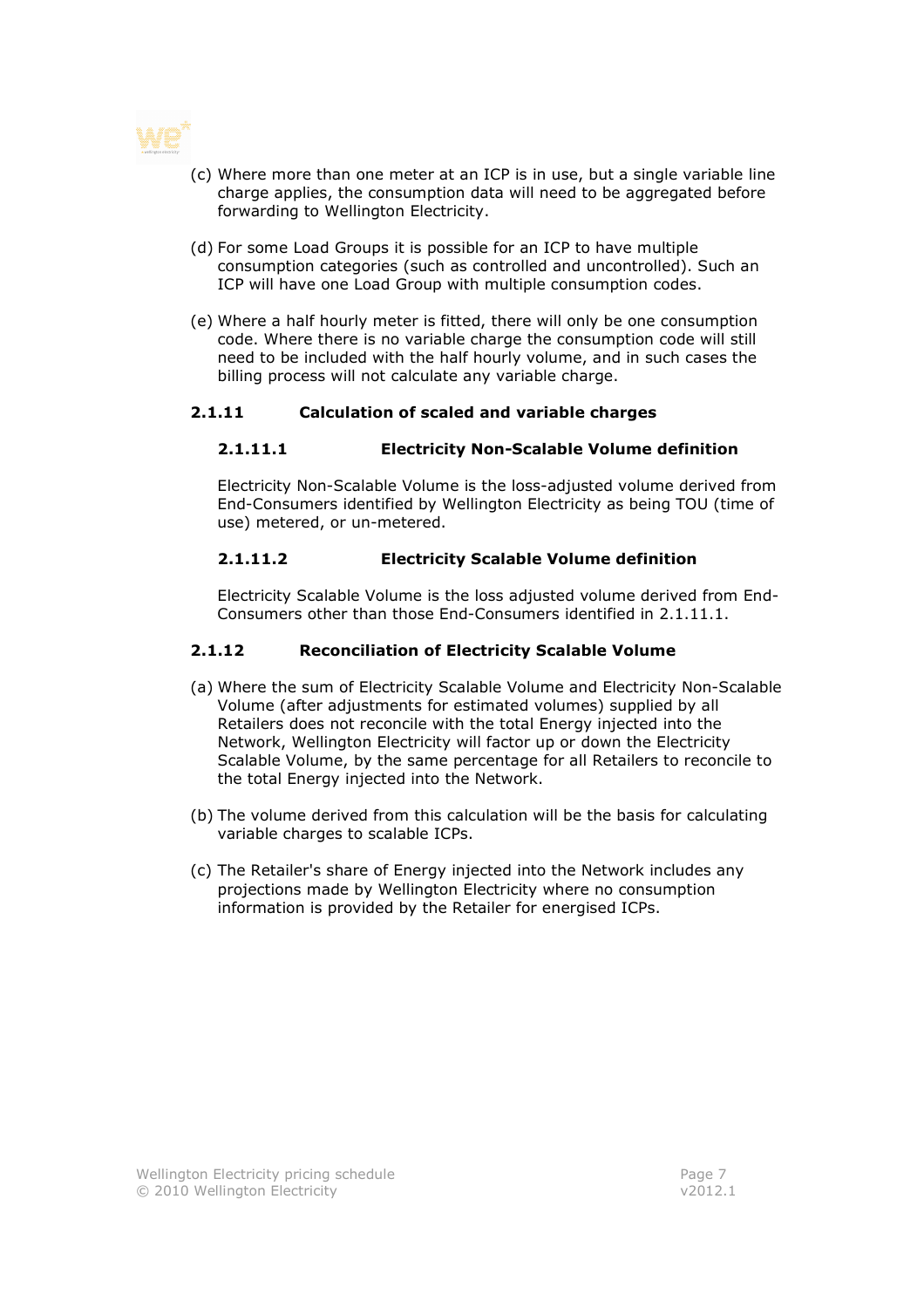

- (c) Where more than one meter at an ICP is in use, but a single variable line charge applies, the consumption data will need to be aggregated before forwarding to Wellington Electricity.
- (d) For some Load Groups it is possible for an ICP to have multiple consumption categories (such as controlled and uncontrolled). Such an ICP will have one Load Group with multiple consumption codes.
- (e) Where a half hourly meter is fitted, there will only be one consumption code. Where there is no variable charge the consumption code will still need to be included with the half hourly volume, and in such cases the billing process will not calculate any variable charge.

#### 2.1.11 Calculation of scaled and variable charges

#### 2.1.11.1 Electricity Non-Scalable Volume definition

Electricity Non-Scalable Volume is the loss-adjusted volume derived from End-Consumers identified by Wellington Electricity as being TOU (time of use) metered, or un-metered.

#### 2.1.11.2 Electricity Scalable Volume definition

Electricity Scalable Volume is the loss adjusted volume derived from End-Consumers other than those End-Consumers identified in 2.1.11.1.

#### 2.1.12 Reconciliation of Electricity Scalable Volume

- (a) Where the sum of Electricity Scalable Volume and Electricity Non-Scalable Volume (after adjustments for estimated volumes) supplied by all Retailers does not reconcile with the total Energy injected into the Network, Wellington Electricity will factor up or down the Electricity Scalable Volume, by the same percentage for all Retailers to reconcile to the total Energy injected into the Network.
- (b) The volume derived from this calculation will be the basis for calculating variable charges to scalable ICPs.
- (c) The Retailer's share of Energy injected into the Network includes any projections made by Wellington Electricity where no consumption information is provided by the Retailer for energised ICPs.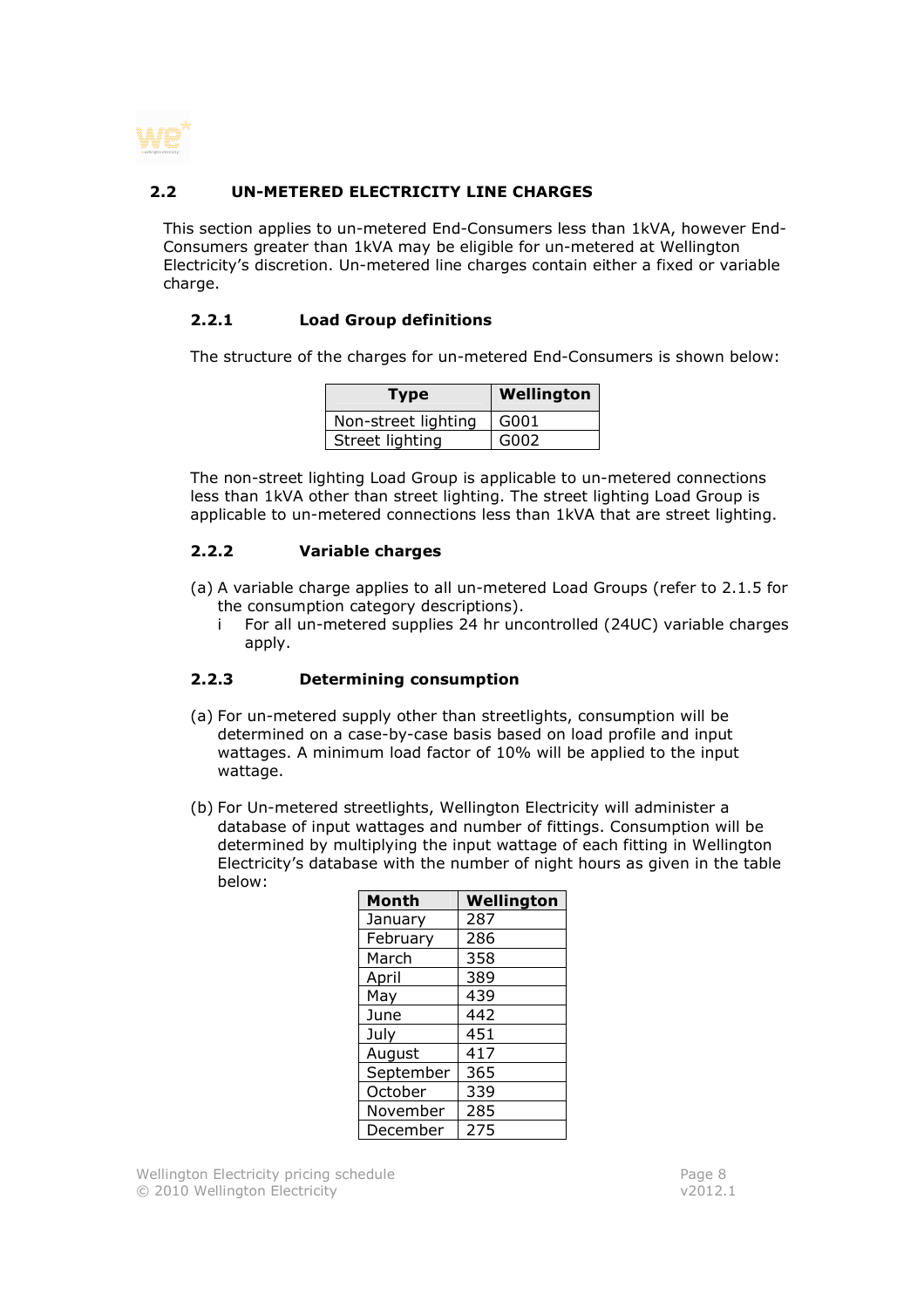

#### 2.2 UN-METERED ELECTRICITY LINE CHARGES

This section applies to un-metered End-Consumers less than 1kVA, however End-Consumers greater than 1kVA may be eligible for un-metered at Wellington Electricity's discretion. Un-metered line charges contain either a fixed or variable charge.

#### 2.2.1 Load Group definitions

The structure of the charges for un-metered End-Consumers is shown below:

| <b>Type</b>         | Wellington |  |
|---------------------|------------|--|
| Non-street lighting | l G001     |  |
| Street lighting     | G002       |  |

The non-street lighting Load Group is applicable to un-metered connections less than 1kVA other than street lighting. The street lighting Load Group is applicable to un-metered connections less than 1kVA that are street lighting.

#### 2.2.2 Variable charges

- (a) A variable charge applies to all un-metered Load Groups (refer to 2.1.5 for the consumption category descriptions).
	- i For all un-metered supplies 24 hr uncontrolled (24UC) variable charges apply.

#### 2.2.3 Determining consumption

- (a) For un-metered supply other than streetlights, consumption will be determined on a case-by-case basis based on load profile and input wattages. A minimum load factor of 10% will be applied to the input wattage.
- (b) For Un-metered streetlights, Wellington Electricity will administer a database of input wattages and number of fittings. Consumption will be determined by multiplying the input wattage of each fitting in Wellington Electricity's database with the number of night hours as given in the table below:

| <b>Month</b> | Wellington |
|--------------|------------|
| January      | 287        |
| February     | 286        |
| March        | 358        |
| April        | 389        |
| May          | 439        |
| June         | 442        |
| July         | 451        |
| August       | 417        |
| September    | 365        |
| October      | 339        |
| November     | 285        |
| December     | 275        |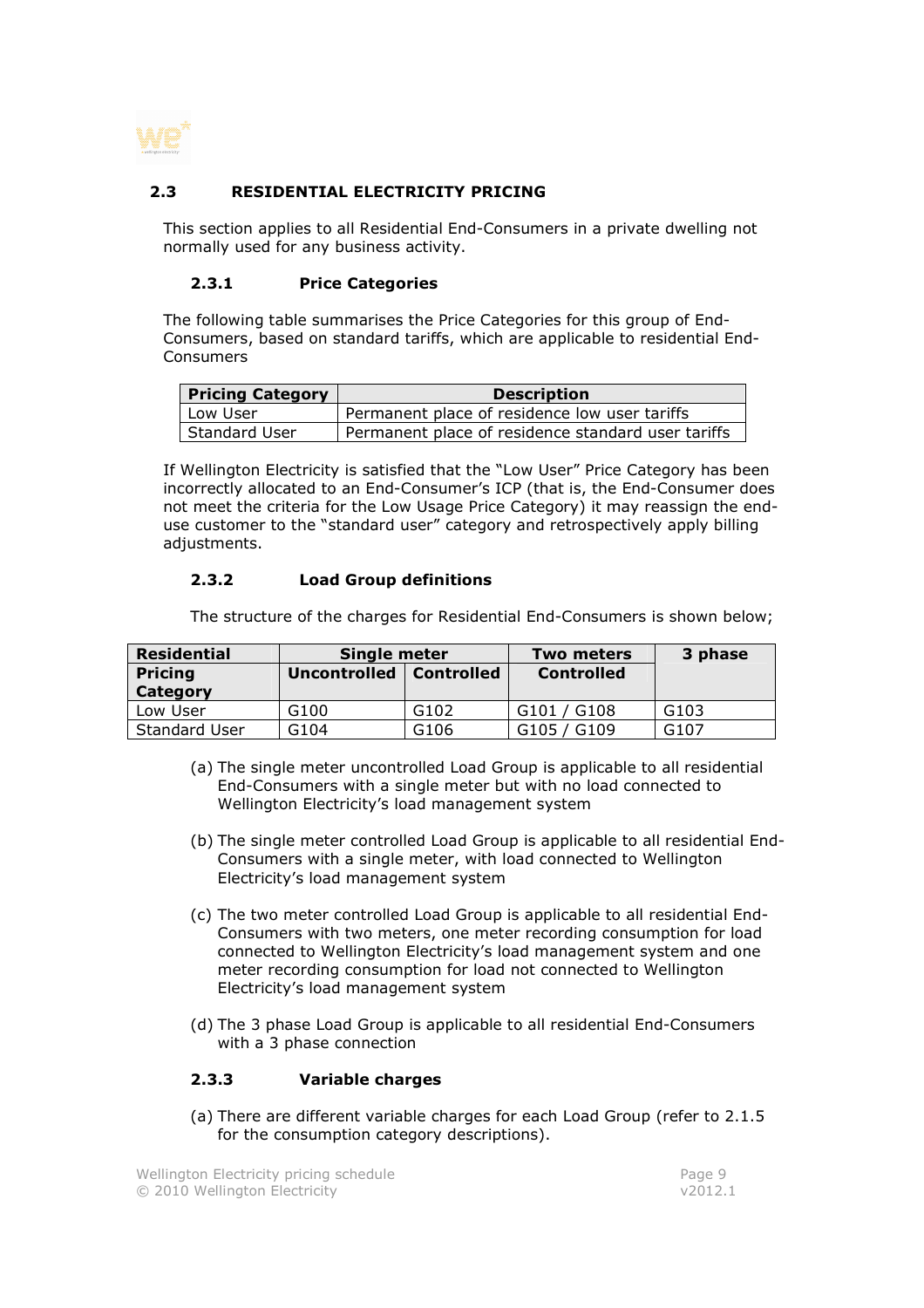

#### 2.3 RESIDENTIAL ELECTRICITY PRICING

This section applies to all Residential End-Consumers in a private dwelling not normally used for any business activity.

#### 2.3.1 Price Categories

The following table summarises the Price Categories for this group of End-Consumers, based on standard tariffs, which are applicable to residential End-**Consumers** 

| Pricing Category     | <b>Description</b>                                 |
|----------------------|----------------------------------------------------|
| Low User             | Permanent place of residence low user tariffs      |
| <b>Standard User</b> | Permanent place of residence standard user tariffs |

If Wellington Electricity is satisfied that the "Low User" Price Category has been incorrectly allocated to an End-Consumer's ICP (that is, the End-Consumer does not meet the criteria for the Low Usage Price Category) it may reassign the enduse customer to the "standard user" category and retrospectively apply billing adjustments.

#### 2.3.2 Load Group definitions

The structure of the charges for Residential End-Consumers is shown below;

| <b>Residential</b>         | Single meter            |                  | Two meters        | 3 phase          |
|----------------------------|-------------------------|------------------|-------------------|------------------|
| <b>Pricing</b><br>Category | Uncontrolled Controlled |                  | <b>Controlled</b> |                  |
| Low User                   | G100                    | G <sub>102</sub> | G101 / G108       | G <sub>103</sub> |
| <b>Standard User</b>       | G104                    | G106             | G105 / G109       | G107             |

- (a) The single meter uncontrolled Load Group is applicable to all residential End-Consumers with a single meter but with no load connected to Wellington Electricity's load management system
- (b) The single meter controlled Load Group is applicable to all residential End-Consumers with a single meter, with load connected to Wellington Electricity's load management system
- (c) The two meter controlled Load Group is applicable to all residential End-Consumers with two meters, one meter recording consumption for load connected to Wellington Electricity's load management system and one meter recording consumption for load not connected to Wellington Electricity's load management system
- (d) The 3 phase Load Group is applicable to all residential End-Consumers with a 3 phase connection

#### 2.3.3 Variable charges

(a) There are different variable charges for each Load Group (refer to 2.1.5 for the consumption category descriptions).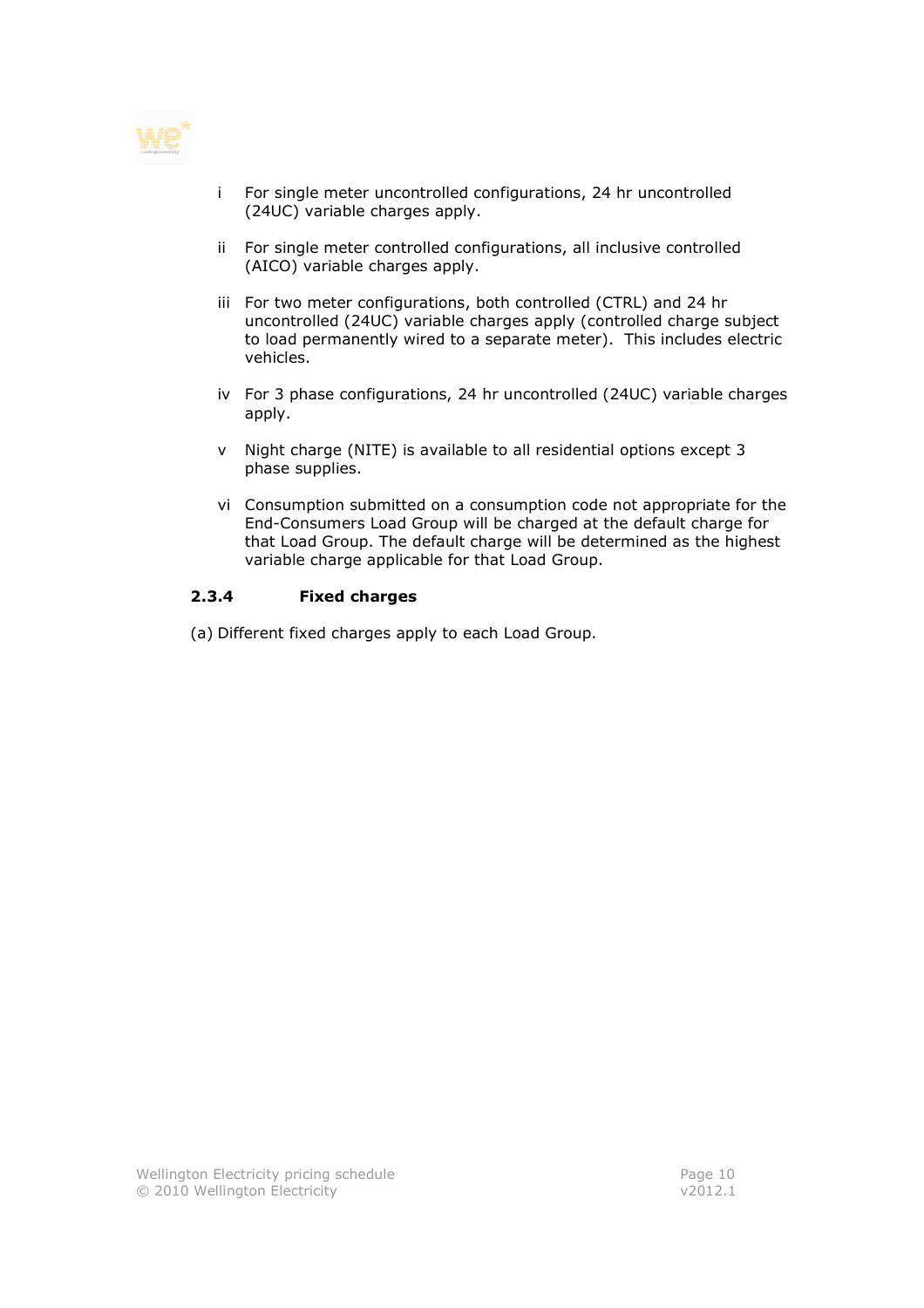

- i For single meter uncontrolled configurations, 24 hr uncontrolled (24UC) variable charges apply.
- ii For single meter controlled configurations, all inclusive controlled (AICO) variable charges apply.
- iii For two meter configurations, both controlled (CTRL) and 24 hr uncontrolled (24UC) variable charges apply (controlled charge subject to load permanently wired to a separate meter). This includes electric vehicles.
- iv For 3 phase configurations, 24 hr uncontrolled (24UC) variable charges apply.
- v Night charge (NITE) is available to all residential options except 3 phase supplies.
- vi Consumption submitted on a consumption code not appropriate for the End-Consumers Load Group will be charged at the default charge for that Load Group. The default charge will be determined as the highest variable charge applicable for that Load Group.

#### 2.3.4 Fixed charges

(a) Different fixed charges apply to each Load Group.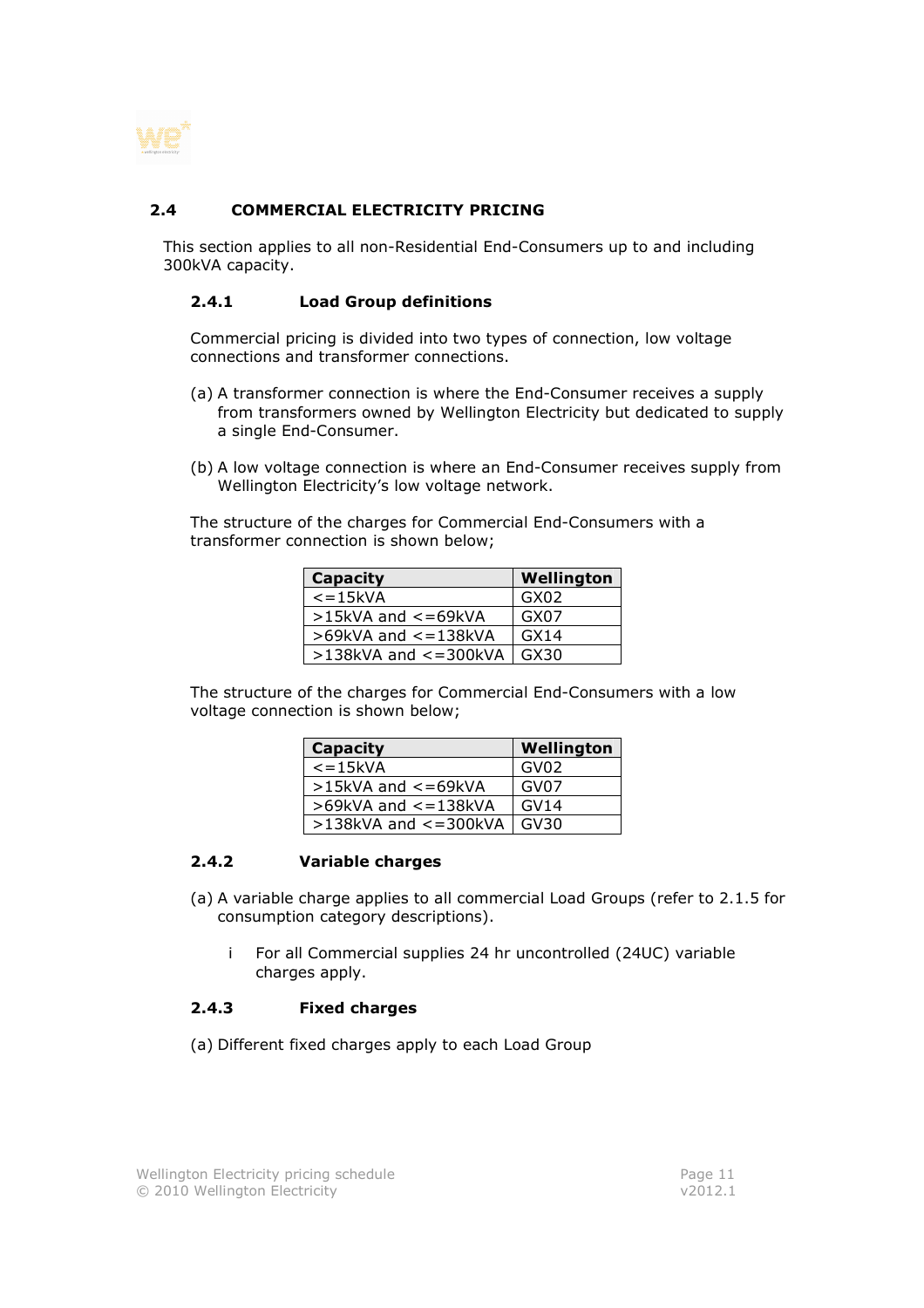

#### 2.4 COMMERCIAL ELECTRICITY PRICING

This section applies to all non-Residential End-Consumers up to and including 300kVA capacity.

#### 2.4.1 Load Group definitions

Commercial pricing is divided into two types of connection, low voltage connections and transformer connections.

- (a) A transformer connection is where the End-Consumer receives a supply from transformers owned by Wellington Electricity but dedicated to supply a single End-Consumer.
- (b) A low voltage connection is where an End-Consumer receives supply from Wellington Electricity's low voltage network.

The structure of the charges for Commercial End-Consumers with a transformer connection is shown below;

| <b>Capacity</b>              | Wellington |
|------------------------------|------------|
| $\epsilon$ = 15kVA           | GX02       |
| $>15kVA$ and $<=69kVA$       | GX07       |
| $>69$ kVA and $\lt$ = 138kVA | GX14       |
| $>138$ kVA and $<=300$ kVA   | GX30       |

The structure of the charges for Commercial End-Consumers with a low voltage connection is shown below;

| <b>Capacity</b>            | Wellington       |
|----------------------------|------------------|
| $\epsilon$ = 15kVA         | GV <sub>02</sub> |
| $>15kVA$ and $<=69kVA$     | GV07             |
| $>69$ kVA and $<=138$ kVA  | GVI4             |
| $>138$ kVA and $<=300$ kVA | GV30             |

#### 2.4.2 Variable charges

- (a) A variable charge applies to all commercial Load Groups (refer to 2.1.5 for consumption category descriptions).
	- i For all Commercial supplies 24 hr uncontrolled (24UC) variable charges apply.

#### 2.4.3 Fixed charges

(a) Different fixed charges apply to each Load Group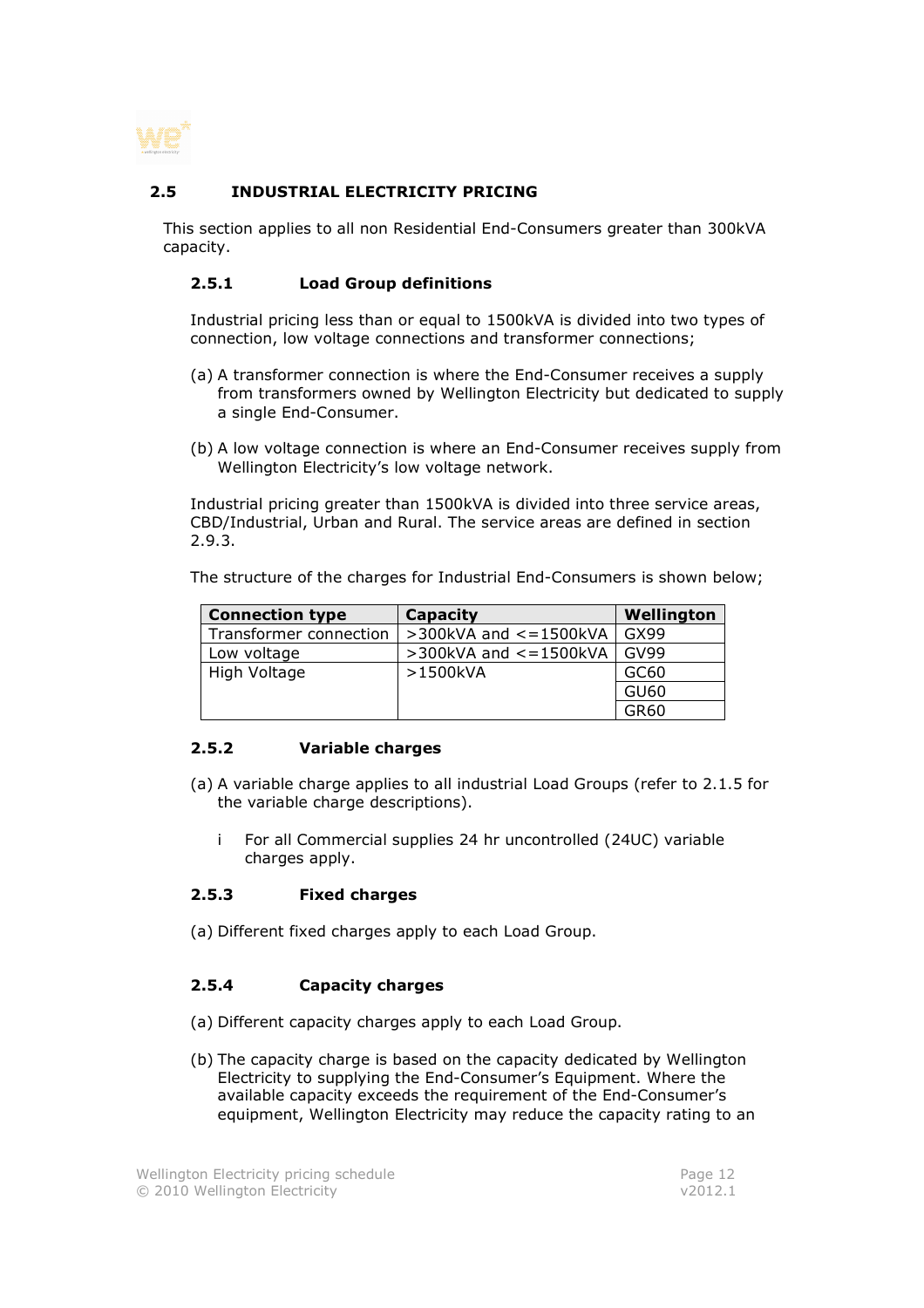

#### 2.5 INDUSTRIAL ELECTRICITY PRICING

This section applies to all non Residential End-Consumers greater than 300kVA capacity.

#### 2.5.1 Load Group definitions

Industrial pricing less than or equal to 1500kVA is divided into two types of connection, low voltage connections and transformer connections;

- (a) A transformer connection is where the End-Consumer receives a supply from transformers owned by Wellington Electricity but dedicated to supply a single End-Consumer.
- (b) A low voltage connection is where an End-Consumer receives supply from Wellington Electricity's low voltage network.

Industrial pricing greater than 1500kVA is divided into three service areas, CBD/Industrial, Urban and Rural. The service areas are defined in section 2.9.3.

The structure of the charges for Industrial End-Consumers is shown below;

| <b>Connection type</b> | Capacity                       | Wellington  |
|------------------------|--------------------------------|-------------|
| Transformer connection | $>$ 300kVA and $<$ = 1500kVA   | GX99        |
| Low voltage            | $>$ 300kVA and $\lt$ = 1500kVA | <b>GV99</b> |
| High Voltage           | >1500kVA                       | GC60        |
|                        |                                | GU60        |
|                        |                                | GR60        |

#### 2.5.2 Variable charges

- (a) A variable charge applies to all industrial Load Groups (refer to 2.1.5 for the variable charge descriptions).
	- i For all Commercial supplies 24 hr uncontrolled (24UC) variable charges apply.

#### 2.5.3 Fixed charges

(a) Different fixed charges apply to each Load Group.

#### 2.5.4 Capacity charges

- (a) Different capacity charges apply to each Load Group.
- (b) The capacity charge is based on the capacity dedicated by Wellington Electricity to supplying the End-Consumer's Equipment. Where the available capacity exceeds the requirement of the End-Consumer's equipment, Wellington Electricity may reduce the capacity rating to an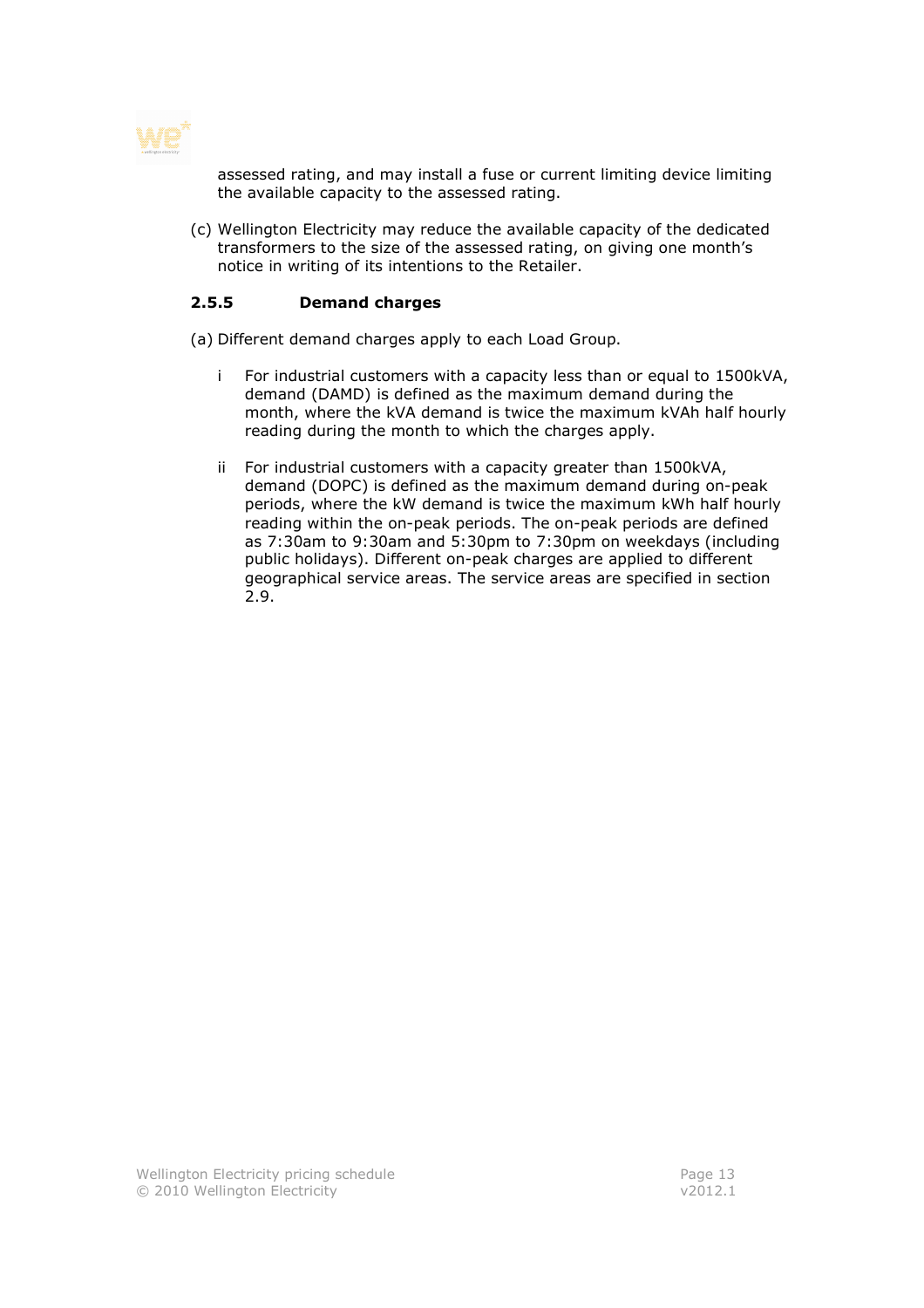

assessed rating, and may install a fuse or current limiting device limiting the available capacity to the assessed rating.

(c) Wellington Electricity may reduce the available capacity of the dedicated transformers to the size of the assessed rating, on giving one month's notice in writing of its intentions to the Retailer.

#### 2.5.5 Demand charges

(a) Different demand charges apply to each Load Group.

- i For industrial customers with a capacity less than or equal to 1500kVA, demand (DAMD) is defined as the maximum demand during the month, where the kVA demand is twice the maximum kVAh half hourly reading during the month to which the charges apply.
- ii For industrial customers with a capacity greater than 1500kVA, demand (DOPC) is defined as the maximum demand during on-peak periods, where the kW demand is twice the maximum kWh half hourly reading within the on-peak periods. The on-peak periods are defined as 7:30am to 9:30am and 5:30pm to 7:30pm on weekdays (including public holidays). Different on-peak charges are applied to different geographical service areas. The service areas are specified in section 2.9.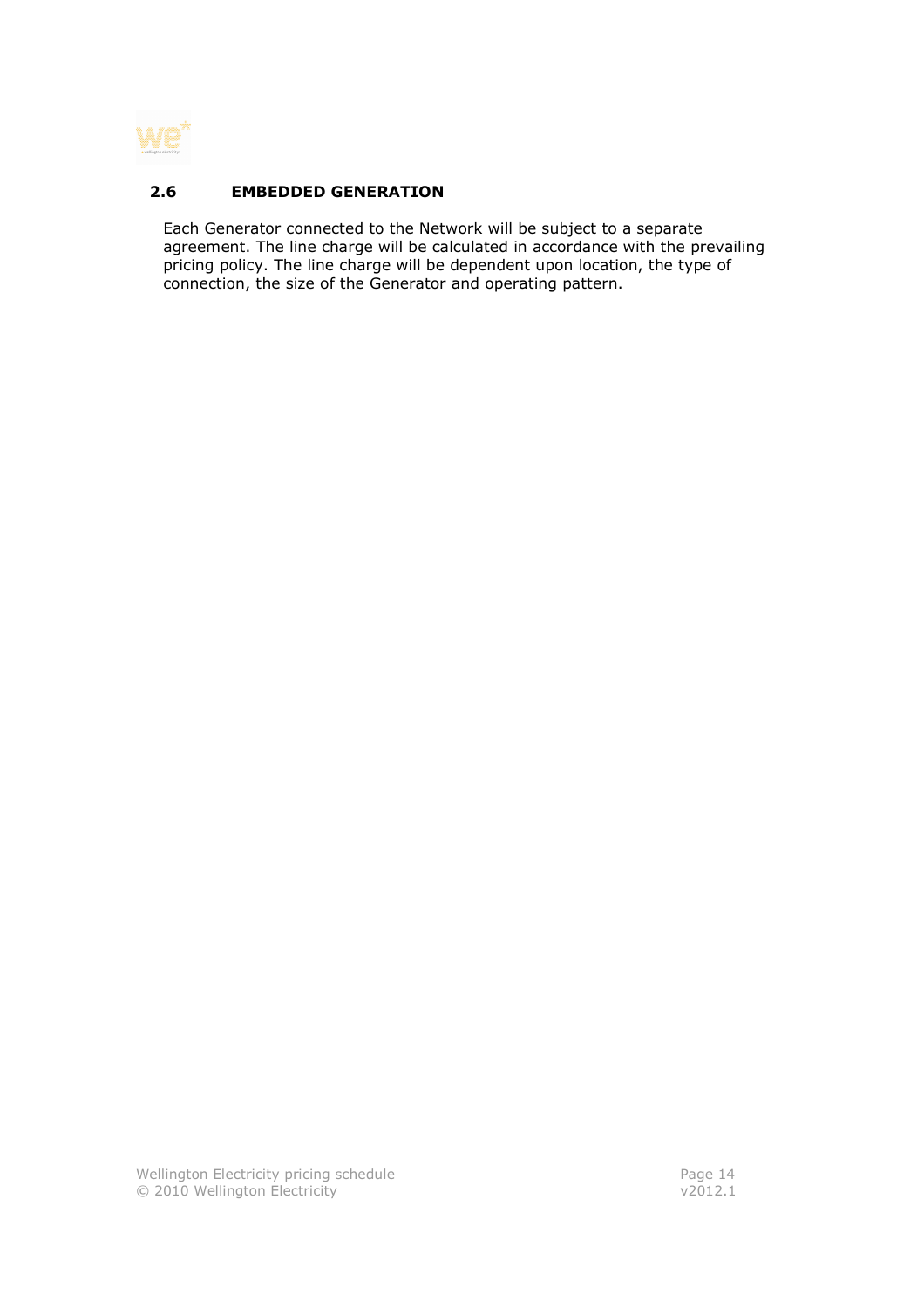

#### 2.6 EMBEDDED GENERATION

Each Generator connected to the Network will be subject to a separate agreement. The line charge will be calculated in accordance with the prevailing pricing policy. The line charge will be dependent upon location, the type of connection, the size of the Generator and operating pattern.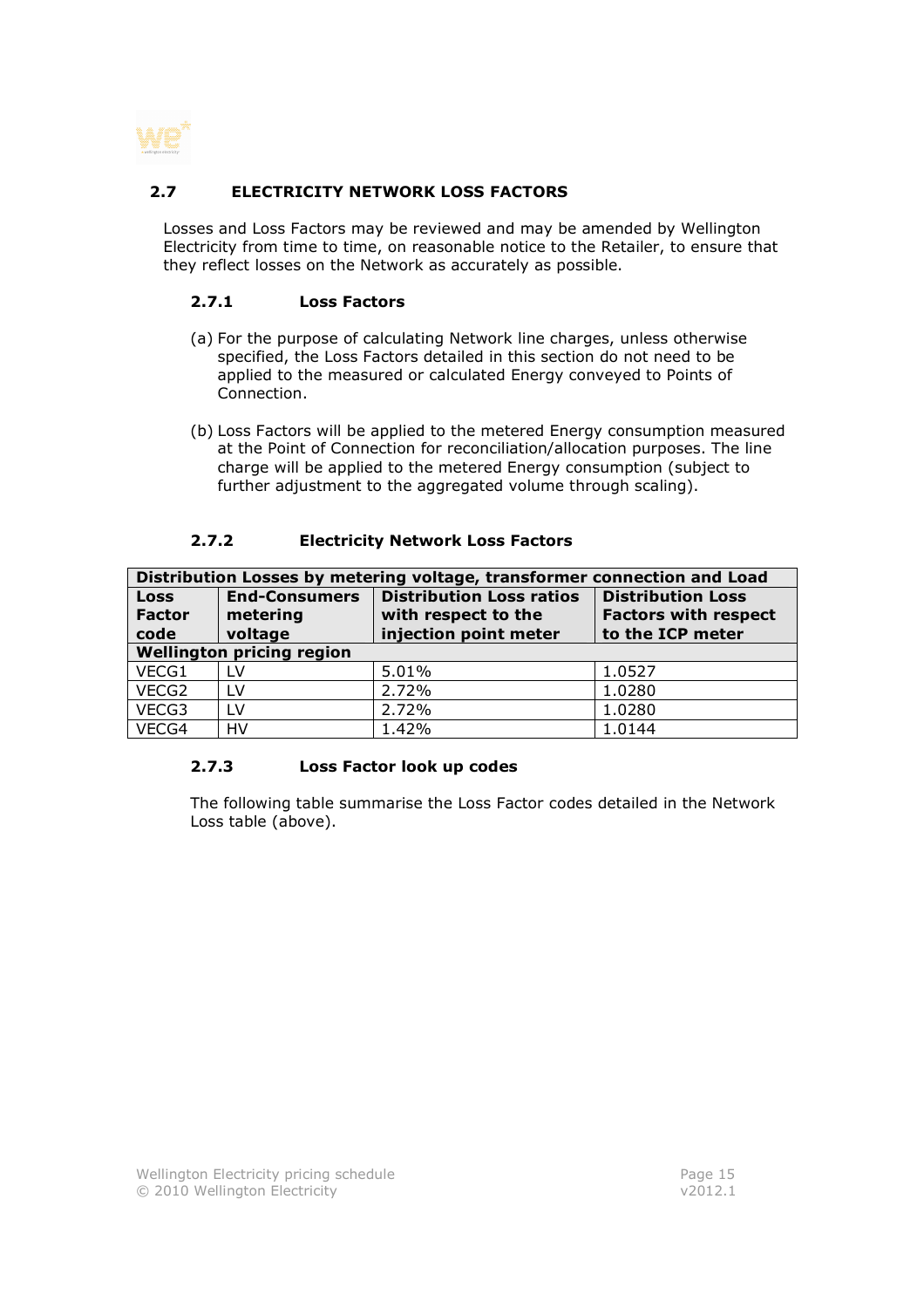

#### 2.7 ELECTRICITY NETWORK LOSS FACTORS

Losses and Loss Factors may be reviewed and may be amended by Wellington Electricity from time to time, on reasonable notice to the Retailer, to ensure that they reflect losses on the Network as accurately as possible.

#### 2.7.1 Loss Factors

- (a) For the purpose of calculating Network line charges, unless otherwise specified, the Loss Factors detailed in this section do not need to be applied to the measured or calculated Energy conveyed to Points of Connection.
- (b) Loss Factors will be applied to the metered Energy consumption measured at the Point of Connection for reconciliation/allocation purposes. The line charge will be applied to the metered Energy consumption (subject to further adjustment to the aggregated volume through scaling).

#### 2.7.2 Electricity Network Loss Factors

| Distribution Losses by metering voltage, transformer connection and Load |                                  |                                                        |                                                         |  |  |  |
|--------------------------------------------------------------------------|----------------------------------|--------------------------------------------------------|---------------------------------------------------------|--|--|--|
| <b>Loss</b><br><b>Factor</b>                                             | <b>End-Consumers</b><br>metering | <b>Distribution Loss ratios</b><br>with respect to the | <b>Distribution Loss</b><br><b>Factors with respect</b> |  |  |  |
| code                                                                     | voltage                          | injection point meter                                  | to the ICP meter                                        |  |  |  |
| <b>Wellington pricing region</b>                                         |                                  |                                                        |                                                         |  |  |  |
| VECG1                                                                    | LV                               | 5.01%                                                  | 1.0527                                                  |  |  |  |
| VECG2                                                                    | LV                               | 2.72%                                                  | 1.0280                                                  |  |  |  |
| VECG3                                                                    | <b>LV</b>                        | 2.72%                                                  | 1.0280                                                  |  |  |  |
| VECG4                                                                    | HV                               | 1.42%                                                  | 1.0144                                                  |  |  |  |

#### 2.7.3 Loss Factor look up codes

The following table summarise the Loss Factor codes detailed in the Network Loss table (above).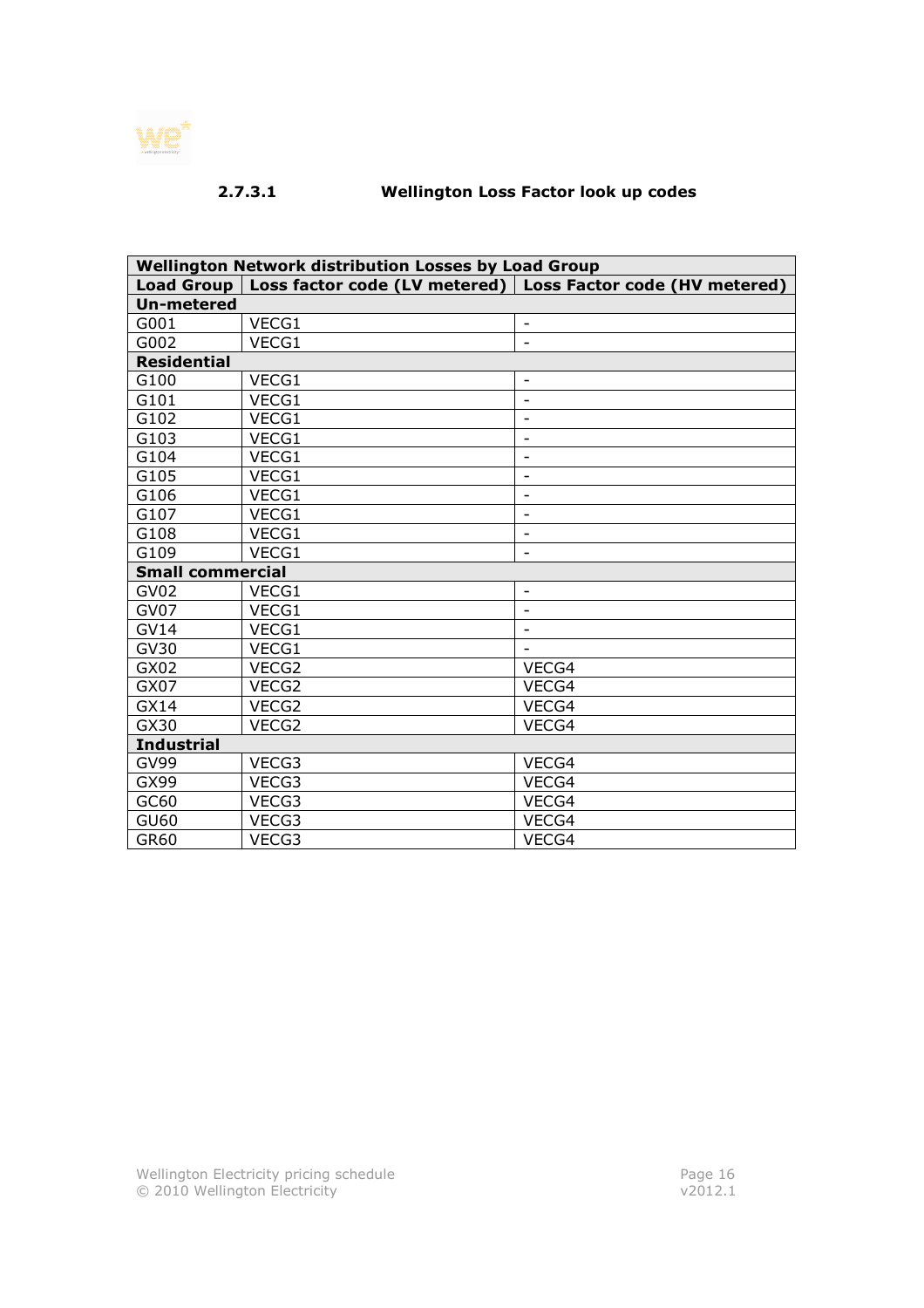

### 2.7.3.1 Wellington Loss Factor look up codes

| <b>Wellington Network distribution Losses by Load Group</b> |       |                                                               |  |  |  |
|-------------------------------------------------------------|-------|---------------------------------------------------------------|--|--|--|
| <b>Load Group</b>                                           |       | Loss factor code (LV metered)   Loss Factor code (HV metered) |  |  |  |
| <b>Un-metered</b>                                           |       |                                                               |  |  |  |
| G001                                                        | VECG1 | $\overline{\phantom{a}}$                                      |  |  |  |
| G002                                                        | VECG1 | $\overline{\phantom{a}}$                                      |  |  |  |
| <b>Residential</b>                                          |       |                                                               |  |  |  |
| G100                                                        | VECG1 | $\overline{\phantom{a}}$                                      |  |  |  |
| G101                                                        | VECG1 | $\overline{\phantom{a}}$                                      |  |  |  |
| G102                                                        | VECG1 | $\overline{\phantom{a}}$                                      |  |  |  |
| G103                                                        | VECG1 | $\blacksquare$                                                |  |  |  |
| G104                                                        | VECG1 |                                                               |  |  |  |
| G105                                                        | VECG1 | $\overline{\phantom{a}}$                                      |  |  |  |
| G106                                                        | VECG1 | $\overline{\phantom{a}}$                                      |  |  |  |
| G107                                                        | VECG1 | $\overline{\phantom{a}}$                                      |  |  |  |
| G108                                                        | VECG1 |                                                               |  |  |  |
| G109                                                        | VECG1 | $\overline{\phantom{a}}$                                      |  |  |  |
| <b>Small commercial</b>                                     |       |                                                               |  |  |  |
| GV <sub>02</sub>                                            | VECG1 | $\overline{\phantom{a}}$                                      |  |  |  |
| GV07                                                        | VECG1 | $\overline{\phantom{a}}$                                      |  |  |  |
| <b>GV14</b>                                                 | VECG1 |                                                               |  |  |  |
| <b>GV30</b>                                                 | VECG1 |                                                               |  |  |  |
| GX02                                                        | VECG2 | VECG4                                                         |  |  |  |
| GX07                                                        | VECG2 | VECG4                                                         |  |  |  |
| GX14                                                        | VECG2 | VECG4                                                         |  |  |  |
| GX30                                                        | VECG2 | VECG4                                                         |  |  |  |
| <b>Industrial</b>                                           |       |                                                               |  |  |  |
| <b>GV99</b>                                                 | VECG3 | VECG4                                                         |  |  |  |
| GX99                                                        | VECG3 | VECG4                                                         |  |  |  |
| GC60                                                        | VECG3 | VECG4                                                         |  |  |  |
| <b>GU60</b>                                                 | VECG3 | VECG4                                                         |  |  |  |
| GR60                                                        | VECG3 | VECG4                                                         |  |  |  |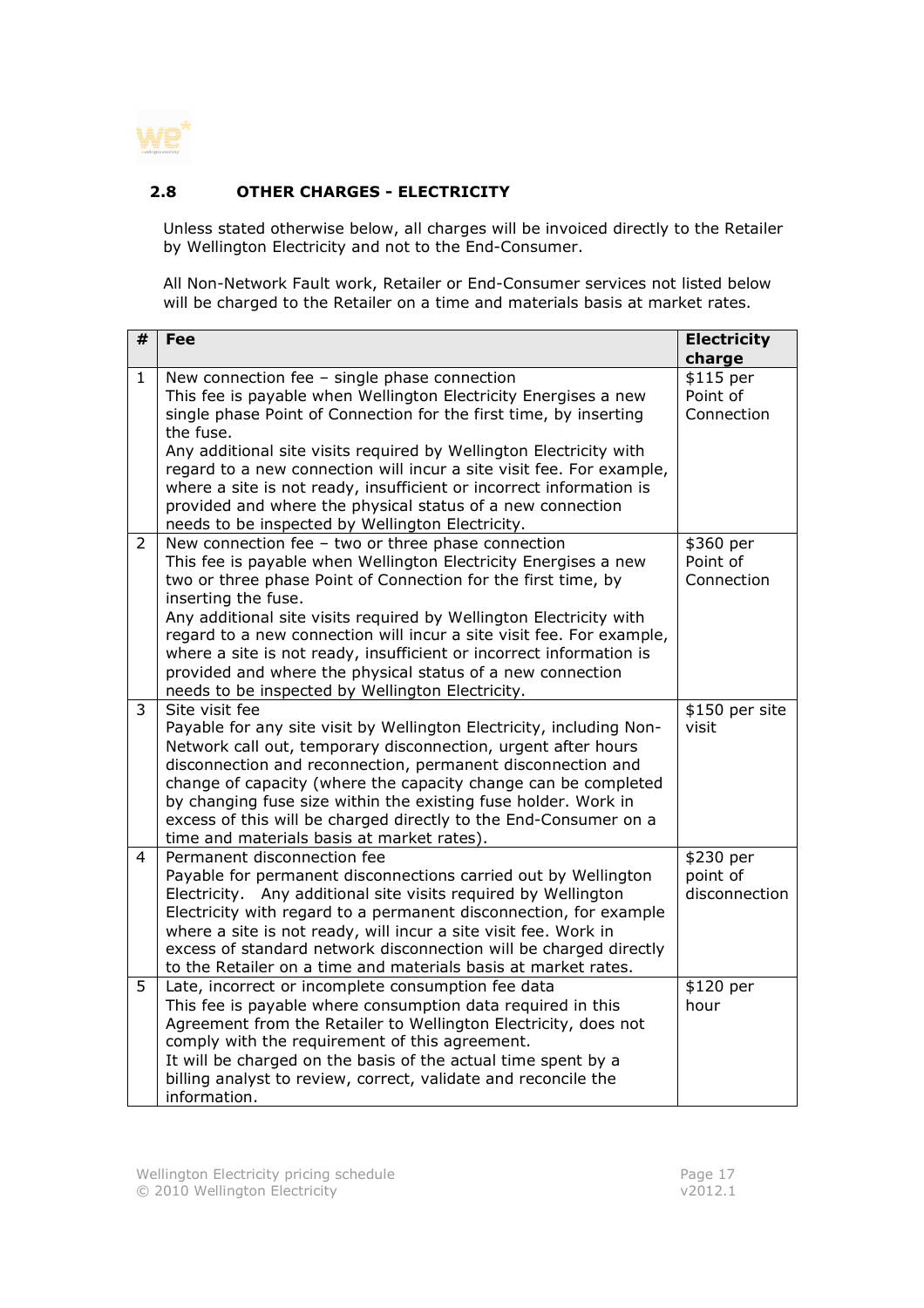

#### 2.8 OTHER CHARGES - ELECTRICITY

Unless stated otherwise below, all charges will be invoiced directly to the Retailer by Wellington Electricity and not to the End-Consumer.

All Non-Network Fault work, Retailer or End-Consumer services not listed below will be charged to the Retailer on a time and materials basis at market rates.

| #              | <b>Fee</b>                                                                                                                                                                                                                                                                                                                                                                                                                                                                                                                                           | <b>Electricity</b><br>charge           |
|----------------|------------------------------------------------------------------------------------------------------------------------------------------------------------------------------------------------------------------------------------------------------------------------------------------------------------------------------------------------------------------------------------------------------------------------------------------------------------------------------------------------------------------------------------------------------|----------------------------------------|
| $\mathbf{1}$   | New connection fee - single phase connection<br>This fee is payable when Wellington Electricity Energises a new<br>single phase Point of Connection for the first time, by inserting<br>the fuse.<br>Any additional site visits required by Wellington Electricity with<br>regard to a new connection will incur a site visit fee. For example,<br>where a site is not ready, insufficient or incorrect information is<br>provided and where the physical status of a new connection<br>needs to be inspected by Wellington Electricity.             | \$115 per<br>Point of<br>Connection    |
| $\overline{2}$ | New connection fee - two or three phase connection<br>This fee is payable when Wellington Electricity Energises a new<br>two or three phase Point of Connection for the first time, by<br>inserting the fuse.<br>Any additional site visits required by Wellington Electricity with<br>regard to a new connection will incur a site visit fee. For example,<br>where a site is not ready, insufficient or incorrect information is<br>provided and where the physical status of a new connection<br>needs to be inspected by Wellington Electricity. | \$360 per<br>Point of<br>Connection    |
| 3              | Site visit fee<br>Payable for any site visit by Wellington Electricity, including Non-<br>Network call out, temporary disconnection, urgent after hours<br>disconnection and reconnection, permanent disconnection and<br>change of capacity (where the capacity change can be completed<br>by changing fuse size within the existing fuse holder. Work in<br>excess of this will be charged directly to the End-Consumer on a<br>time and materials basis at market rates).                                                                         | \$150 per site<br>visit                |
| 4              | Permanent disconnection fee<br>Payable for permanent disconnections carried out by Wellington<br>Electricity. Any additional site visits required by Wellington<br>Electricity with regard to a permanent disconnection, for example<br>where a site is not ready, will incur a site visit fee. Work in<br>excess of standard network disconnection will be charged directly<br>to the Retailer on a time and materials basis at market rates.                                                                                                       | \$230 per<br>point of<br>disconnection |
| 5              | Late, incorrect or incomplete consumption fee data<br>This fee is payable where consumption data required in this<br>Agreement from the Retailer to Wellington Electricity, does not<br>comply with the requirement of this agreement.<br>It will be charged on the basis of the actual time spent by a<br>billing analyst to review, correct, validate and reconcile the<br>information.                                                                                                                                                            | \$120 per<br>hour                      |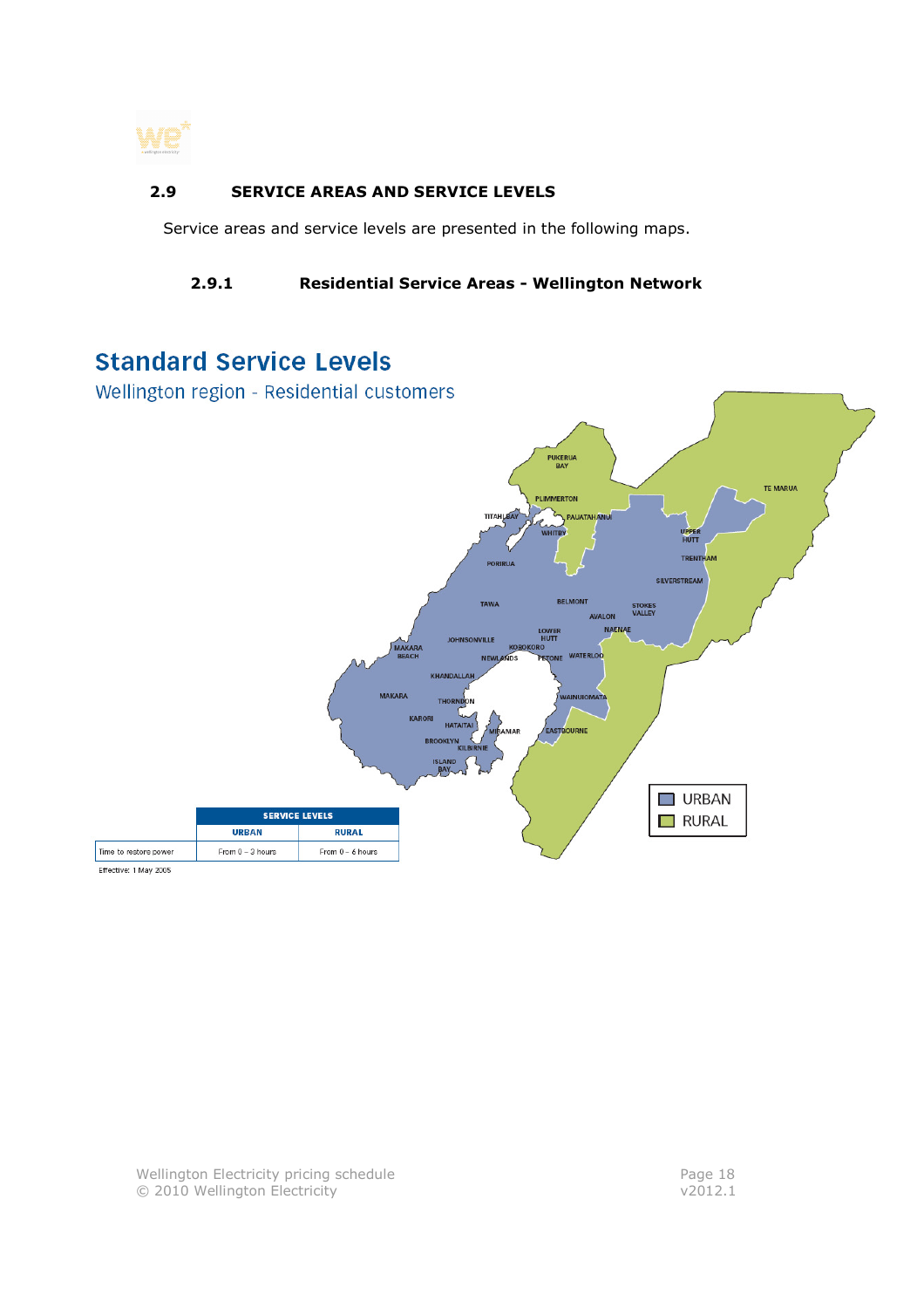

#### 2.9 SERVICE AREAS AND SERVICE LEVELS

Service areas and service levels are presented in the following maps.

#### 2.9.1 Residential Service Areas - Wellington Network

## **Standard Service Levels**

Wellington region - Residential customers



Effective: 1 May 2005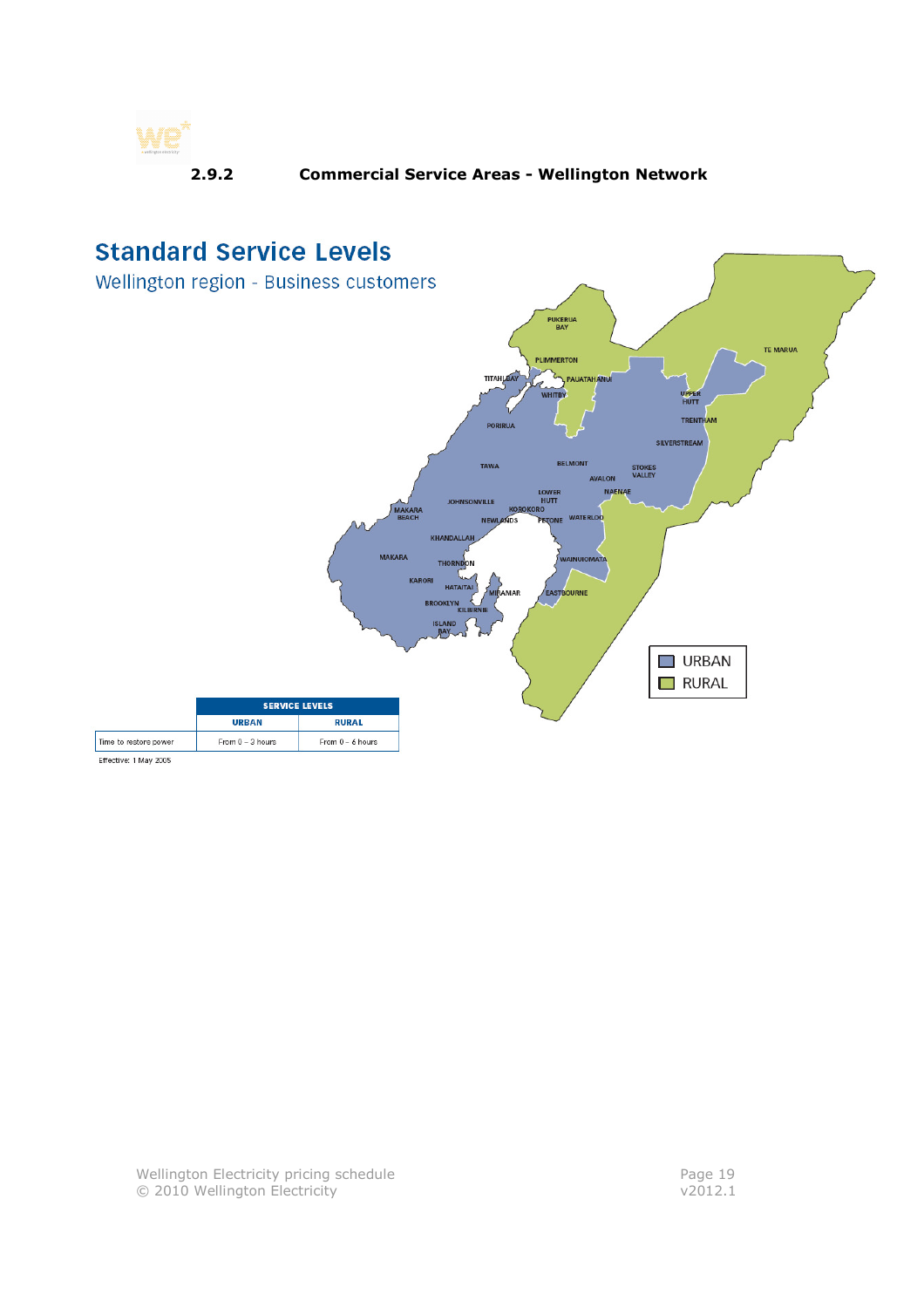

#### 2.9.2 Commercial Service Areas - Wellington Network